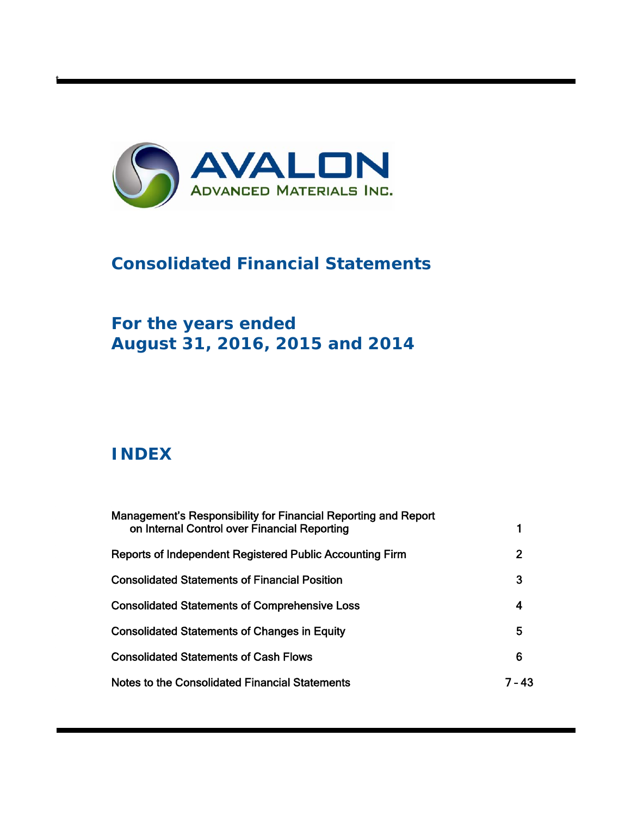

# **Consolidated Financial Statements**

# **For the years ended August 31, 2016, 2015 and 2014**

# **INDEX**

t

| Management's Responsibility for Financial Reporting and Report<br>on Internal Control over Financial Reporting |        |
|----------------------------------------------------------------------------------------------------------------|--------|
| Reports of Independent Registered Public Accounting Firm                                                       | 2      |
| <b>Consolidated Statements of Financial Position</b>                                                           | 3      |
| <b>Consolidated Statements of Comprehensive Loss</b>                                                           | 4      |
| <b>Consolidated Statements of Changes in Equity</b>                                                            | 5      |
| <b>Consolidated Statements of Cash Flows</b>                                                                   | 6      |
| Notes to the Consolidated Financial Statements                                                                 | 7 - 43 |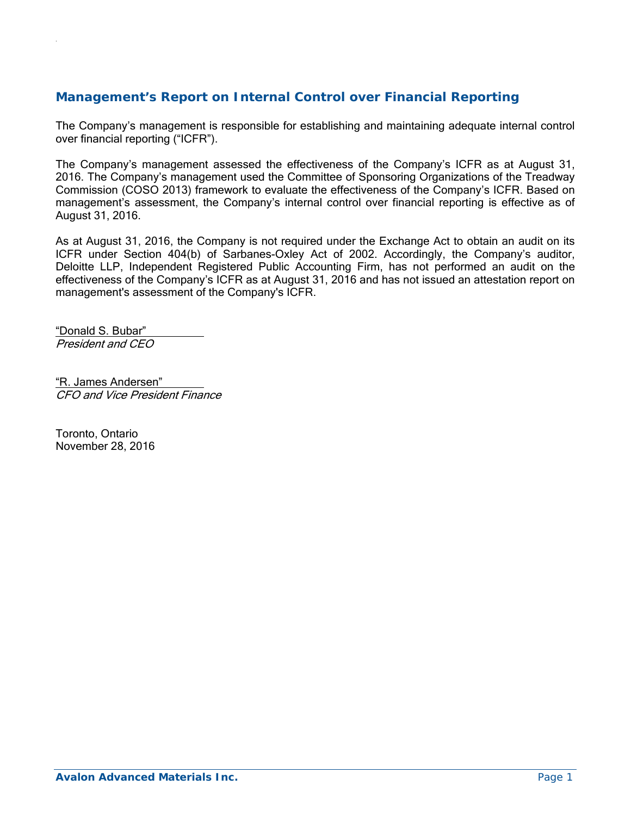# **Management's Report on Internal Control over Financial Reporting**

The Company's management is responsible for establishing and maintaining adequate internal control over financial reporting ("ICFR").

The Company's management assessed the effectiveness of the Company's ICFR as at August 31, 2016. The Company's management used the Committee of Sponsoring Organizations of the Treadway Commission (COSO 2013) framework to evaluate the effectiveness of the Company's ICFR. Based on management's assessment, the Company's internal control over financial reporting is effective as of August 31, 2016.

As at August 31, 2016, the Company is not required under the Exchange Act to obtain an audit on its ICFR under Section 404(b) of Sarbanes-Oxley Act of 2002. Accordingly, the Company's auditor, Deloitte LLP, Independent Registered Public Accounting Firm, has not performed an audit on the effectiveness of the Company's ICFR as at August 31, 2016 and has not issued an attestation report on management's assessment of the Company's ICFR.

"Donald S. Bubar" President and CEO

.

"R. James Andersen" CFO and Vice President Finance

Toronto, Ontario November 28, 2016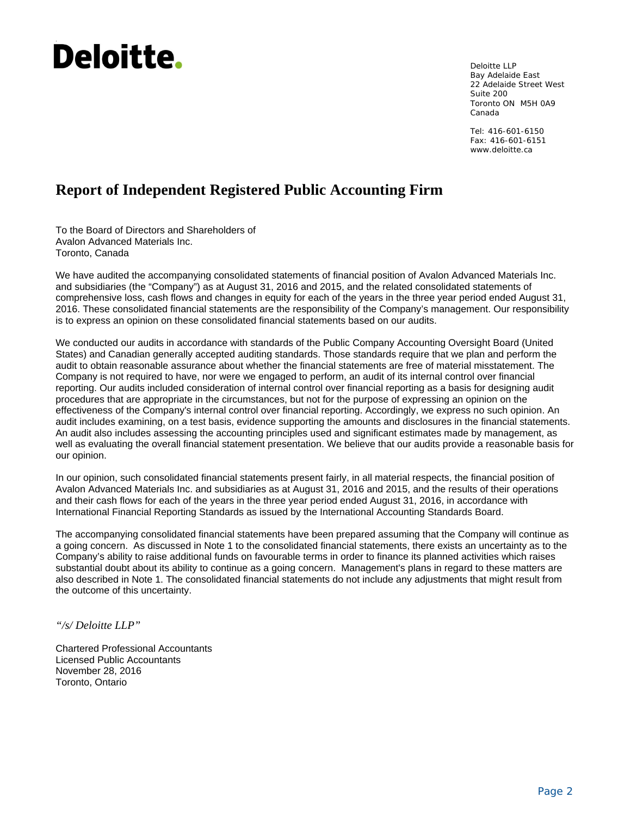# . Deloitte.

Deloitte LLP Bay Adelaide East 22 Adelaide Street West Suite 200 Toronto ON M5H 0A9 Canada

Tel: 416-601-6150 Fax: 416-601-6151 www.deloitte.ca

# **Report of Independent Registered Public Accounting Firm**

To the Board of Directors and Shareholders of Avalon Advanced Materials Inc. Toronto, Canada

We have audited the accompanying consolidated statements of financial position of Avalon Advanced Materials Inc. and subsidiaries (the "Company") as at August 31, 2016 and 2015, and the related consolidated statements of comprehensive loss, cash flows and changes in equity for each of the years in the three year period ended August 31, 2016. These consolidated financial statements are the responsibility of the Company's management. Our responsibility is to express an opinion on these consolidated financial statements based on our audits.

We conducted our audits in accordance with standards of the Public Company Accounting Oversight Board (United States) and Canadian generally accepted auditing standards. Those standards require that we plan and perform the audit to obtain reasonable assurance about whether the financial statements are free of material misstatement. The Company is not required to have, nor were we engaged to perform, an audit of its internal control over financial reporting. Our audits included consideration of internal control over financial reporting as a basis for designing audit procedures that are appropriate in the circumstances, but not for the purpose of expressing an opinion on the effectiveness of the Company's internal control over financial reporting. Accordingly, we express no such opinion. An audit includes examining, on a test basis, evidence supporting the amounts and disclosures in the financial statements. An audit also includes assessing the accounting principles used and significant estimates made by management, as well as evaluating the overall financial statement presentation. We believe that our audits provide a reasonable basis for our opinion.

In our opinion, such consolidated financial statements present fairly, in all material respects, the financial position of Avalon Advanced Materials Inc. and subsidiaries as at August 31, 2016 and 2015, and the results of their operations and their cash flows for each of the years in the three year period ended August 31, 2016, in accordance with International Financial Reporting Standards as issued by the International Accounting Standards Board.

The accompanying consolidated financial statements have been prepared assuming that the Company will continue as a going concern. As discussed in Note 1 to the consolidated financial statements, there exists an uncertainty as to the Company's ability to raise additional funds on favourable terms in order to finance its planned activities which raises substantial doubt about its ability to continue as a going concern. Management's plans in regard to these matters are also described in Note 1. The consolidated financial statements do not include any adjustments that might result from the outcome of this uncertainty.

*"/s/ Deloitte LLP"*

Chartered Professional Accountants Licensed Public Accountants November 28, 2016 Toronto, Ontario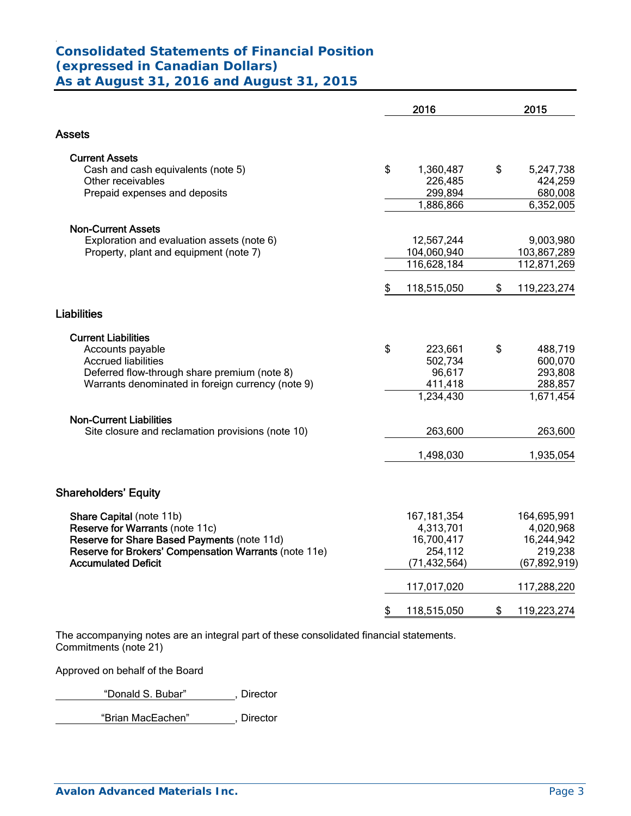## . **Consolidated Statements of Financial Position (expressed in Canadian Dollars) As at August 31, 2016 and August 31, 2015**

|                                                       | 2016              | 2015              |
|-------------------------------------------------------|-------------------|-------------------|
| <b>Assets</b>                                         |                   |                   |
| <b>Current Assets</b>                                 |                   |                   |
| Cash and cash equivalents (note 5)                    | \$<br>1,360,487   | \$<br>5,247,738   |
| Other receivables                                     | 226,485           | 424,259           |
| Prepaid expenses and deposits                         | 299,894           | 680,008           |
|                                                       | 1,886,866         | 6,352,005         |
| <b>Non-Current Assets</b>                             |                   |                   |
| Exploration and evaluation assets (note 6)            | 12,567,244        | 9,003,980         |
| Property, plant and equipment (note 7)                | 104,060,940       | 103,867,289       |
|                                                       | 116,628,184       | 112,871,269       |
|                                                       |                   |                   |
|                                                       | \$<br>118,515,050 | \$<br>119,223,274 |
| <b>Liabilities</b>                                    |                   |                   |
| <b>Current Liabilities</b>                            |                   |                   |
| Accounts payable                                      | \$<br>223,661     | \$<br>488,719     |
| <b>Accrued liabilities</b>                            | 502,734           | 600,070           |
| Deferred flow-through share premium (note 8)          | 96,617            | 293,808           |
| Warrants denominated in foreign currency (note 9)     | 411,418           | 288,857           |
|                                                       | 1,234,430         | 1,671,454         |
| <b>Non-Current Liabilities</b>                        |                   |                   |
| Site closure and reclamation provisions (note 10)     | 263,600           | 263,600           |
|                                                       | 1,498,030         | 1,935,054         |
|                                                       |                   |                   |
| <b>Shareholders' Equity</b>                           |                   |                   |
| Share Capital (note 11b)                              | 167, 181, 354     | 164,695,991       |
| Reserve for Warrants (note 11c)                       | 4,313,701         | 4,020,968         |
| Reserve for Share Based Payments (note 11d)           | 16,700,417        | 16,244,942        |
| Reserve for Brokers' Compensation Warrants (note 11e) | 254,112           | 219,238           |
| <b>Accumulated Deficit</b>                            | (71, 432, 564)    | (67, 892, 919)    |
|                                                       | 117,017,020       | 117,288,220       |
|                                                       | \$<br>118,515,050 | \$<br>119,223,274 |
|                                                       |                   |                   |

The accompanying notes are an integral part of these consolidated financial statements. Commitments (note 21)

Approved on behalf of the Board

"Donald S. Bubar", Director

"Brian MacEachen" , Director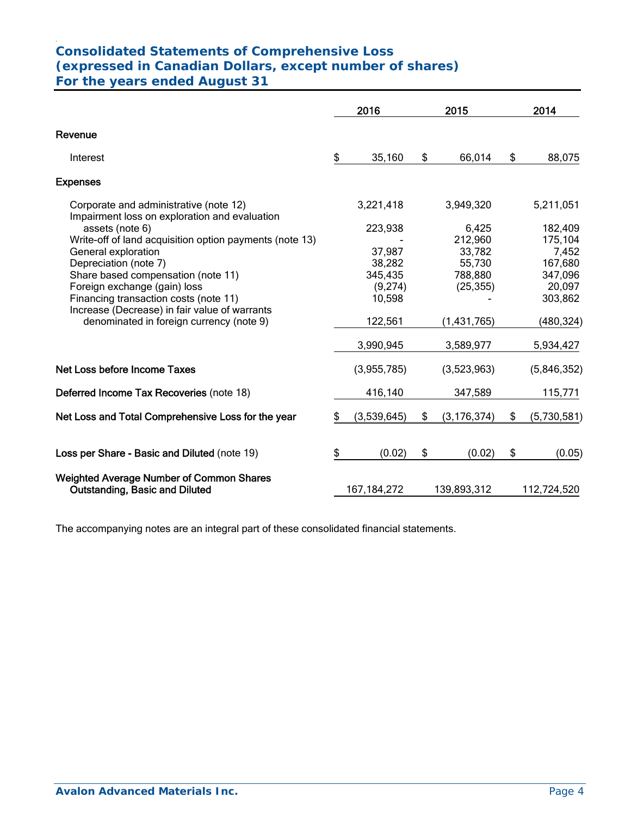## . **Consolidated Statements of Comprehensive Loss (expressed in Canadian Dollars, except number of shares) For the years ended August 31**

|                                                                                         | 2016              | 2015                | 2014              |
|-----------------------------------------------------------------------------------------|-------------------|---------------------|-------------------|
| Revenue                                                                                 |                   |                     |                   |
| Interest                                                                                | \$<br>35,160      | \$<br>66,014        | \$<br>88,075      |
| <b>Expenses</b>                                                                         |                   |                     |                   |
| Corporate and administrative (note 12)<br>Impairment loss on exploration and evaluation | 3,221,418         | 3,949,320           | 5,211,051         |
| assets (note 6)                                                                         | 223,938           | 6,425               | 182,409           |
| Write-off of land acquisition option payments (note 13)                                 |                   | 212,960             | 175,104           |
| General exploration                                                                     | 37,987            | 33,782              | 7,452             |
| Depreciation (note 7)                                                                   | 38,282            | 55,730              | 167,680           |
| Share based compensation (note 11)                                                      | 345,435           | 788,880             | 347,096           |
| Foreign exchange (gain) loss                                                            | (9,274)           | (25, 355)           | 20,097            |
| Financing transaction costs (note 11)                                                   | 10,598            |                     | 303,862           |
| Increase (Decrease) in fair value of warrants                                           |                   |                     |                   |
| denominated in foreign currency (note 9)                                                | 122,561           | (1,431,765)         | (480, 324)        |
|                                                                                         | 3,990,945         | 3,589,977           | 5,934,427         |
| Net Loss before Income Taxes                                                            | (3,955,785)       | (3,523,963)         | (5,846,352)       |
| Deferred Income Tax Recoveries (note 18)                                                | 416,140           | 347,589             | 115,771           |
| Net Loss and Total Comprehensive Loss for the year                                      | \$<br>(3,539,645) | \$<br>(3, 176, 374) | \$<br>(5,730,581) |
|                                                                                         |                   |                     |                   |
| Loss per Share - Basic and Diluted (note 19)                                            | \$<br>(0.02)      | \$<br>(0.02)        | \$<br>(0.05)      |
| <b>Weighted Average Number of Common Shares</b>                                         |                   |                     |                   |
| <b>Outstanding, Basic and Diluted</b>                                                   | 167, 184, 272     | 139,893,312         | 112,724,520       |

The accompanying notes are an integral part of these consolidated financial statements.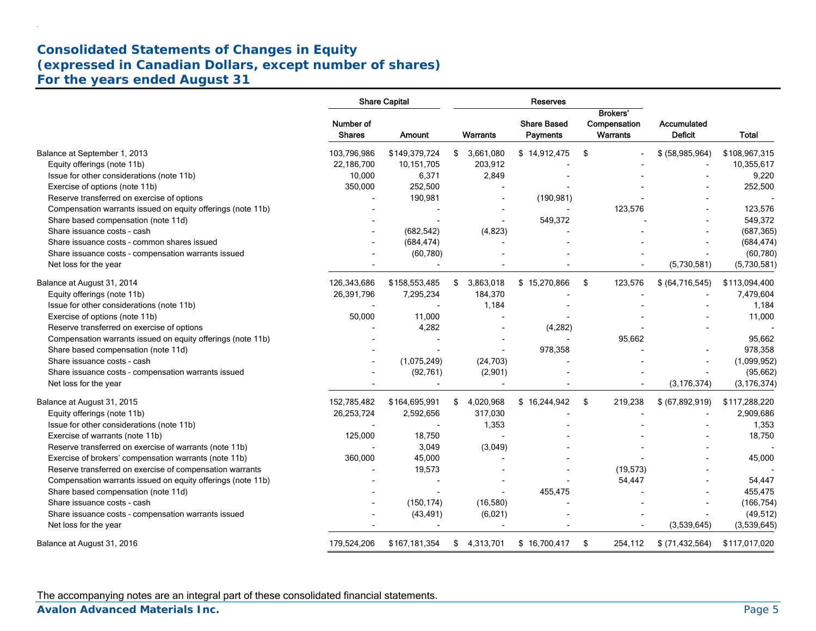# **Consolidated Statements of Changes in Equity (expressed in Canadian Dollars, except number of shares) For the years ended August 31**

|                                                             |                            | <b>Share Capital</b>     | <b>Reserves</b> |                                       |                                             |                                      |               |  |
|-------------------------------------------------------------|----------------------------|--------------------------|-----------------|---------------------------------------|---------------------------------------------|--------------------------------------|---------------|--|
|                                                             | Number of<br><b>Shares</b> | Amount                   | Warrants        | <b>Share Based</b><br><b>Payments</b> | Brokers'<br>Compensation<br><b>Warrants</b> | <b>Accumulated</b><br><b>Deficit</b> | <b>Total</b>  |  |
| Balance at September 1, 2013                                | 103,796,986                | \$149,379,724            | \$<br>3,661,080 | \$14,912,475                          | \$                                          | \$ (58,985,964)                      | \$108,967,315 |  |
| Equity offerings (note 11b)                                 | 22,186,700                 | 10,151,705               | 203,912         |                                       |                                             |                                      | 10,355,617    |  |
| Issue for other considerations (note 11b)                   | 10,000                     | 6,371                    | 2,849           |                                       |                                             |                                      | 9,220         |  |
| Exercise of options (note 11b)                              | 350,000                    | 252,500                  |                 |                                       |                                             |                                      | 252,500       |  |
| Reserve transferred on exercise of options                  |                            | 190,981                  |                 | (190, 981)                            |                                             |                                      |               |  |
| Compensation warrants issued on equity offerings (note 11b) |                            |                          |                 |                                       | 123,576                                     |                                      | 123,576       |  |
| Share based compensation (note 11d)                         |                            |                          |                 | 549.372                               |                                             |                                      | 549,372       |  |
| Share issuance costs - cash                                 |                            | (682, 542)               | (4,823)         |                                       |                                             |                                      | (687, 365)    |  |
| Share issuance costs - common shares issued                 |                            | (684, 474)               |                 |                                       |                                             |                                      | (684, 474)    |  |
| Share issuance costs - compensation warrants issued         |                            | (60, 780)                |                 |                                       |                                             |                                      | (60, 780)     |  |
| Net loss for the year                                       |                            |                          |                 |                                       |                                             | (5,730,581)                          | (5,730,581)   |  |
|                                                             |                            |                          |                 |                                       |                                             |                                      |               |  |
| Balance at August 31, 2014                                  | 126,343,686                | \$158,553,485            | \$<br>3,863,018 | \$15,270,866                          | \$<br>123.576                               | \$ (64, 716, 545)                    | \$113,094,400 |  |
| Equity offerings (note 11b)                                 | 26,391,796                 | 7,295,234                | 184,370         |                                       |                                             |                                      | 7,479,604     |  |
| Issue for other considerations (note 11b)                   | $\overline{a}$             | $\overline{\phantom{0}}$ | 1,184           |                                       |                                             |                                      | 1,184         |  |
| Exercise of options (note 11b)                              | 50,000                     | 11,000                   |                 |                                       |                                             |                                      | 11,000        |  |
| Reserve transferred on exercise of options                  |                            | 4,282                    |                 | (4, 282)                              |                                             |                                      |               |  |
| Compensation warrants issued on equity offerings (note 11b) |                            |                          |                 |                                       | 95,662                                      |                                      | 95,662        |  |
| Share based compensation (note 11d)                         |                            |                          |                 | 978,358                               |                                             |                                      | 978,358       |  |
| Share issuance costs - cash                                 |                            | (1,075,249)              | (24, 703)       |                                       |                                             |                                      | (1,099,952)   |  |
| Share issuance costs - compensation warrants issued         |                            | (92, 761)                | (2,901)         |                                       |                                             |                                      | (95, 662)     |  |
| Net loss for the year                                       |                            |                          |                 |                                       |                                             | (3, 176, 374)                        | (3, 176, 374) |  |
|                                                             |                            |                          |                 |                                       |                                             |                                      |               |  |
| Balance at August 31, 2015                                  | 152,785,482                | \$164,695,991            | \$<br>4,020,968 | \$16,244,942                          | \$<br>219,238                               | \$ (67,892,919)                      | \$117,288,220 |  |
| Equity offerings (note 11b)                                 | 26,253,724                 | 2,592,656                | 317,030         |                                       |                                             |                                      | 2,909,686     |  |
| Issue for other considerations (note 11b)                   |                            |                          | 1,353           |                                       |                                             |                                      | 1,353         |  |
| Exercise of warrants (note 11b)                             | 125,000                    | 18,750                   |                 |                                       |                                             |                                      | 18,750        |  |
| Reserve transferred on exercise of warrants (note 11b)      |                            | 3,049                    | (3,049)         |                                       |                                             |                                      |               |  |
| Exercise of brokers' compensation warrants (note 11b)       | 360,000                    | 45,000                   |                 |                                       |                                             |                                      | 45,000        |  |
| Reserve transferred on exercise of compensation warrants    |                            | 19,573                   |                 |                                       | (19, 573)                                   |                                      |               |  |
| Compensation warrants issued on equity offerings (note 11b) |                            |                          |                 |                                       | 54,447                                      |                                      | 54,447        |  |
| Share based compensation (note 11d)                         |                            |                          |                 | 455,475                               |                                             |                                      | 455,475       |  |
| Share issuance costs - cash                                 |                            | (150, 174)               | (16,580)        |                                       |                                             |                                      | (166, 754)    |  |
| Share issuance costs - compensation warrants issued         |                            | (43, 491)                | (6,021)         |                                       |                                             |                                      | (49, 512)     |  |
| Net loss for the year                                       |                            |                          |                 |                                       |                                             | (3,539,645)                          | (3,539,645)   |  |
| Balance at August 31, 2016                                  | 179,524,206                | \$167,181,354            | \$<br>4,313,701 | \$16,700,417                          | \$<br>254,112                               | $$$ (71,432,564)                     | \$117,017,020 |  |

The accompanying notes are an integral part of these consolidated financial statements.

# **Avalon Advanced Materials Inc.**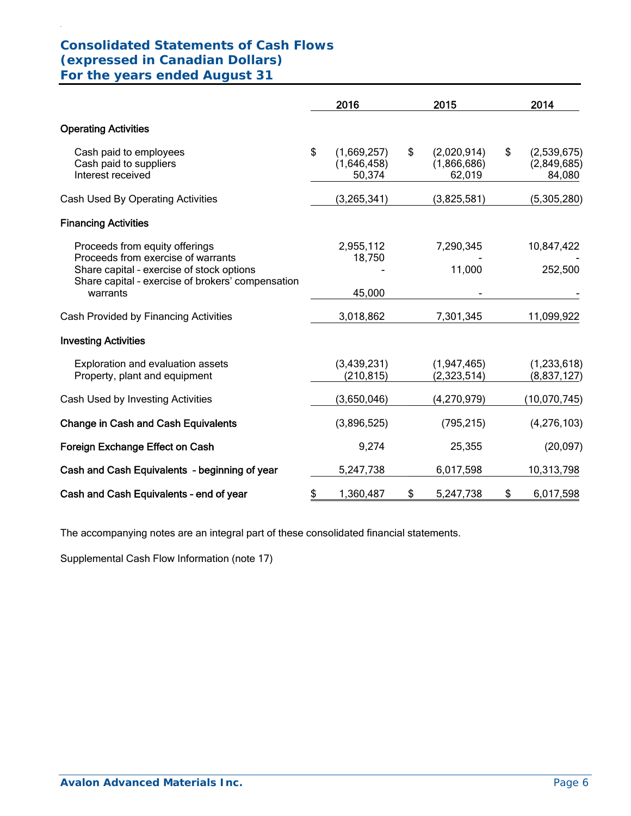# **Consolidated Statements of Cash Flows (expressed in Canadian Dollars) For the years ended August 31**

.

|                                                                                                                                                                                    | 2016                                       | 2015                                       | 2014                                       |
|------------------------------------------------------------------------------------------------------------------------------------------------------------------------------------|--------------------------------------------|--------------------------------------------|--------------------------------------------|
| <b>Operating Activities</b>                                                                                                                                                        |                                            |                                            |                                            |
| Cash paid to employees<br>Cash paid to suppliers<br>Interest received                                                                                                              | \$<br>(1,669,257)<br>(1,646,458)<br>50,374 | \$<br>(2,020,914)<br>(1,866,686)<br>62,019 | \$<br>(2,539,675)<br>(2,849,685)<br>84,080 |
| Cash Used By Operating Activities                                                                                                                                                  | (3, 265, 341)                              | (3,825,581)                                | (5,305,280)                                |
| <b>Financing Activities</b>                                                                                                                                                        |                                            |                                            |                                            |
| Proceeds from equity offerings<br>Proceeds from exercise of warrants<br>Share capital - exercise of stock options<br>Share capital - exercise of brokers' compensation<br>warrants | 2,955,112<br>18,750<br>45,000              | 7,290,345<br>11,000                        | 10,847,422<br>252,500                      |
| Cash Provided by Financing Activities                                                                                                                                              | 3,018,862                                  | 7,301,345                                  | 11,099,922                                 |
| <b>Investing Activities</b>                                                                                                                                                        |                                            |                                            |                                            |
| Exploration and evaluation assets<br>Property, plant and equipment                                                                                                                 | (3,439,231)<br>(210, 815)                  | (1,947,465)<br>(2,323,514)                 | (1, 233, 618)<br>(8,837,127)               |
| Cash Used by Investing Activities                                                                                                                                                  | (3,650,046)                                | (4,270,979)                                | (10,070,745)                               |
| <b>Change in Cash and Cash Equivalents</b>                                                                                                                                         | (3,896,525)                                | (795, 215)                                 | (4, 276, 103)                              |
| Foreign Exchange Effect on Cash                                                                                                                                                    | 9,274                                      | 25,355                                     | (20,097)                                   |
| Cash and Cash Equivalents - beginning of year                                                                                                                                      | 5,247,738                                  | 6,017,598                                  | 10,313,798                                 |
| Cash and Cash Equivalents - end of year                                                                                                                                            | \$<br>1,360,487                            | \$<br>5,247,738                            | \$<br>6,017,598                            |

The accompanying notes are an integral part of these consolidated financial statements.

Supplemental Cash Flow Information (note 17)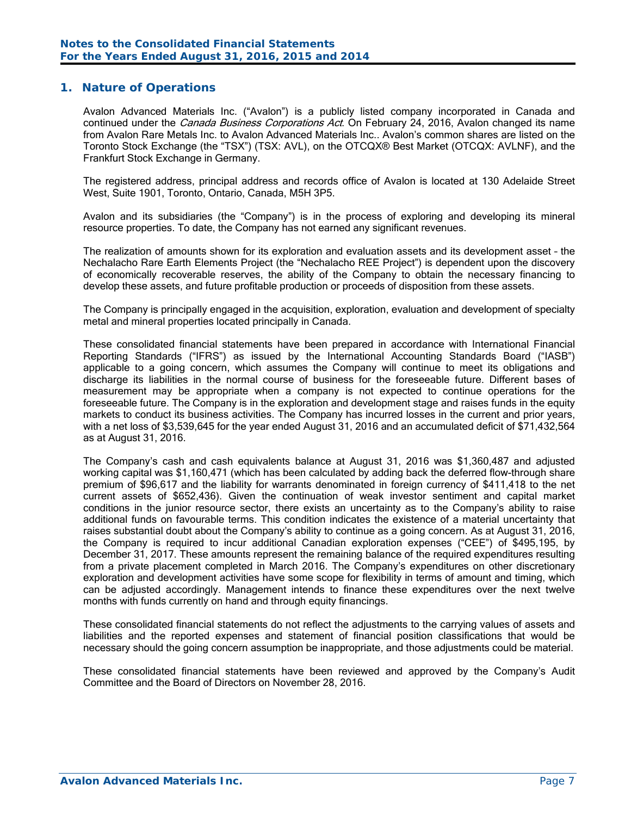## **1. Nature of Operations**

Avalon Advanced Materials Inc. ("Avalon") is a publicly listed company incorporated in Canada and continued under the *Canada Business Corporations Act*. On February 24, 2016, Avalon changed its name from Avalon Rare Metals Inc. to Avalon Advanced Materials Inc.. Avalon's common shares are listed on the Toronto Stock Exchange (the "TSX") (TSX: AVL), on the OTCQX® Best Market (OTCQX: AVLNF), and the Frankfurt Stock Exchange in Germany.

The registered address, principal address and records office of Avalon is located at 130 Adelaide Street West, Suite 1901, Toronto, Ontario, Canada, M5H 3P5.

Avalon and its subsidiaries (the "Company") is in the process of exploring and developing its mineral resource properties. To date, the Company has not earned any significant revenues.

The realization of amounts shown for its exploration and evaluation assets and its development asset – the Nechalacho Rare Earth Elements Project (the "Nechalacho REE Project") is dependent upon the discovery of economically recoverable reserves, the ability of the Company to obtain the necessary financing to develop these assets, and future profitable production or proceeds of disposition from these assets.

The Company is principally engaged in the acquisition, exploration, evaluation and development of specialty metal and mineral properties located principally in Canada.

These consolidated financial statements have been prepared in accordance with International Financial Reporting Standards ("IFRS") as issued by the International Accounting Standards Board ("IASB") applicable to a going concern, which assumes the Company will continue to meet its obligations and discharge its liabilities in the normal course of business for the foreseeable future. Different bases of measurement may be appropriate when a company is not expected to continue operations for the foreseeable future. The Company is in the exploration and development stage and raises funds in the equity markets to conduct its business activities. The Company has incurred losses in the current and prior years, with a net loss of \$3,539,645 for the year ended August 31, 2016 and an accumulated deficit of \$71,432,564 as at August 31, 2016.

The Company's cash and cash equivalents balance at August 31, 2016 was \$1,360,487 and adjusted working capital was \$1,160,471 (which has been calculated by adding back the deferred flow-through share premium of \$96,617 and the liability for warrants denominated in foreign currency of \$411,418 to the net current assets of \$652,436). Given the continuation of weak investor sentiment and capital market conditions in the junior resource sector, there exists an uncertainty as to the Company's ability to raise additional funds on favourable terms. This condition indicates the existence of a material uncertainty that raises substantial doubt about the Company's ability to continue as a going concern. As at August 31, 2016, the Company is required to incur additional Canadian exploration expenses ("CEE") of \$495,195, by December 31, 2017. These amounts represent the remaining balance of the required expenditures resulting from a private placement completed in March 2016. The Company's expenditures on other discretionary exploration and development activities have some scope for flexibility in terms of amount and timing, which can be adjusted accordingly. Management intends to finance these expenditures over the next twelve months with funds currently on hand and through equity financings.

These consolidated financial statements do not reflect the adjustments to the carrying values of assets and liabilities and the reported expenses and statement of financial position classifications that would be necessary should the going concern assumption be inappropriate, and those adjustments could be material.

These consolidated financial statements have been reviewed and approved by the Company's Audit Committee and the Board of Directors on November 28, 2016.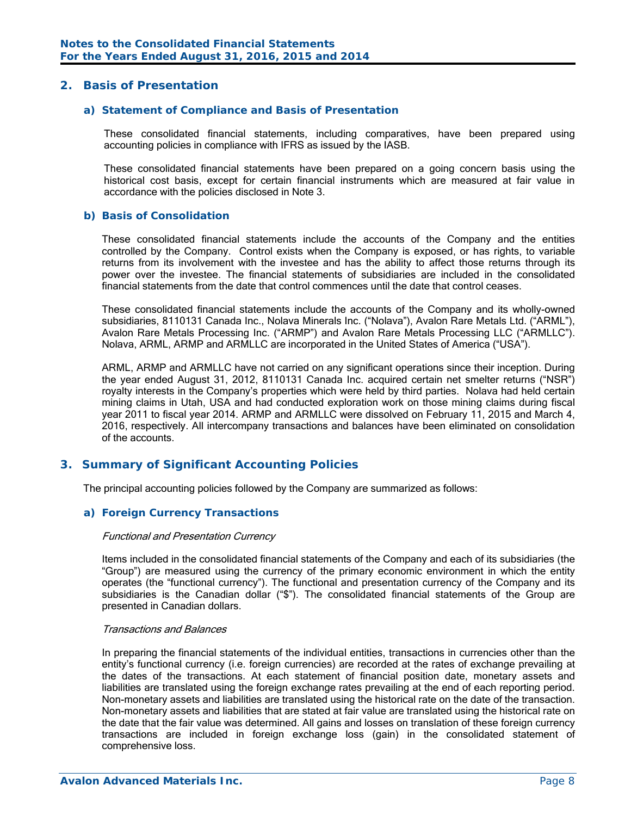## **2. Basis of Presentation**

#### *a) Statement of Compliance and Basis of Presentation*

These consolidated financial statements, including comparatives, have been prepared using accounting policies in compliance with IFRS as issued by the IASB.

These consolidated financial statements have been prepared on a going concern basis using the historical cost basis, except for certain financial instruments which are measured at fair value in accordance with the policies disclosed in Note 3.

#### *b) Basis of Consolidation*

These consolidated financial statements include the accounts of the Company and the entities controlled by the Company. Control exists when the Company is exposed, or has rights, to variable returns from its involvement with the investee and has the ability to affect those returns through its power over the investee. The financial statements of subsidiaries are included in the consolidated financial statements from the date that control commences until the date that control ceases.

These consolidated financial statements include the accounts of the Company and its wholly-owned subsidiaries, 8110131 Canada Inc., Nolava Minerals Inc. ("Nolava"), Avalon Rare Metals Ltd. ("ARML"), Avalon Rare Metals Processing Inc. ("ARMP") and Avalon Rare Metals Processing LLC ("ARMLLC"). Nolava, ARML, ARMP and ARMLLC are incorporated in the United States of America ("USA").

ARML, ARMP and ARMLLC have not carried on any significant operations since their inception. During the year ended August 31, 2012, 8110131 Canada Inc. acquired certain net smelter returns ("NSR") royalty interests in the Company's properties which were held by third parties. Nolava had held certain mining claims in Utah, USA and had conducted exploration work on those mining claims during fiscal year 2011 to fiscal year 2014. ARMP and ARMLLC were dissolved on February 11, 2015 and March 4, 2016, respectively. All intercompany transactions and balances have been eliminated on consolidation of the accounts.

## **3. Summary of Significant Accounting Policies**

The principal accounting policies followed by the Company are summarized as follows:

## *a) Foreign Currency Transactions*

#### Functional and Presentation Currency

Items included in the consolidated financial statements of the Company and each of its subsidiaries (the "Group") are measured using the currency of the primary economic environment in which the entity operates (the "functional currency"). The functional and presentation currency of the Company and its subsidiaries is the Canadian dollar ("\$"). The consolidated financial statements of the Group are presented in Canadian dollars.

#### Transactions and Balances

In preparing the financial statements of the individual entities, transactions in currencies other than the entity's functional currency (i.e. foreign currencies) are recorded at the rates of exchange prevailing at the dates of the transactions. At each statement of financial position date, monetary assets and liabilities are translated using the foreign exchange rates prevailing at the end of each reporting period. Non-monetary assets and liabilities are translated using the historical rate on the date of the transaction. Non-monetary assets and liabilities that are stated at fair value are translated using the historical rate on the date that the fair value was determined. All gains and losses on translation of these foreign currency transactions are included in foreign exchange loss (gain) in the consolidated statement of comprehensive loss.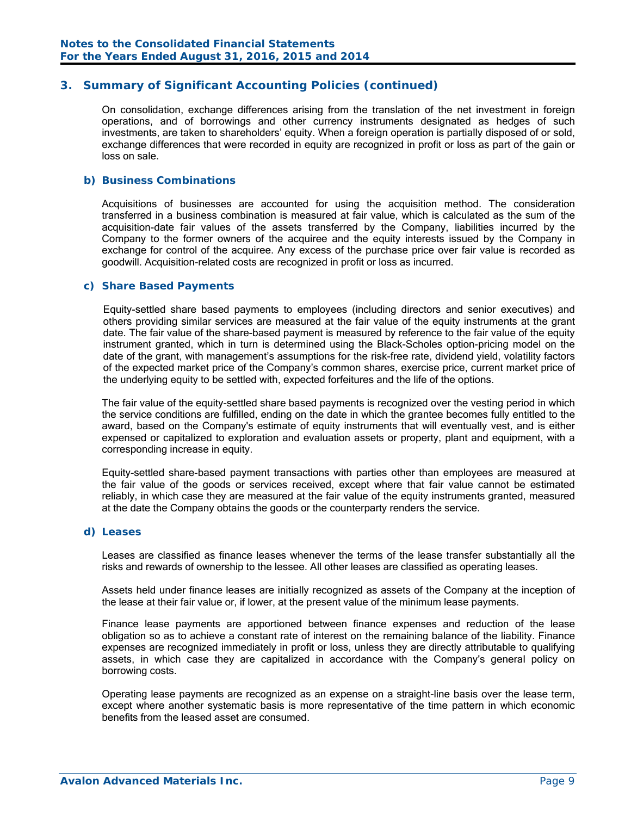On consolidation, exchange differences arising from the translation of the net investment in foreign operations, and of borrowings and other currency instruments designated as hedges of such investments, are taken to shareholders' equity. When a foreign operation is partially disposed of or sold, exchange differences that were recorded in equity are recognized in profit or loss as part of the gain or loss on sale.

## *b) Business Combinations*

Acquisitions of businesses are accounted for using the acquisition method. The consideration transferred in a business combination is measured at fair value, which is calculated as the sum of the acquisition-date fair values of the assets transferred by the Company, liabilities incurred by the Company to the former owners of the acquiree and the equity interests issued by the Company in exchange for control of the acquiree. Any excess of the purchase price over fair value is recorded as goodwill. Acquisition-related costs are recognized in profit or loss as incurred.

## *c) Share Based Payments*

Equity-settled share based payments to employees (including directors and senior executives) and others providing similar services are measured at the fair value of the equity instruments at the grant date. The fair value of the share-based payment is measured by reference to the fair value of the equity instrument granted, which in turn is determined using the Black-Scholes option-pricing model on the date of the grant, with management's assumptions for the risk-free rate, dividend yield, volatility factors of the expected market price of the Company's common shares, exercise price, current market price of the underlying equity to be settled with, expected forfeitures and the life of the options.

The fair value of the equity-settled share based payments is recognized over the vesting period in which the service conditions are fulfilled, ending on the date in which the grantee becomes fully entitled to the award, based on the Company's estimate of equity instruments that will eventually vest, and is either expensed or capitalized to exploration and evaluation assets or property, plant and equipment, with a corresponding increase in equity.

Equity-settled share-based payment transactions with parties other than employees are measured at the fair value of the goods or services received, except where that fair value cannot be estimated reliably, in which case they are measured at the fair value of the equity instruments granted, measured at the date the Company obtains the goods or the counterparty renders the service.

#### *d) Leases*

Leases are classified as finance leases whenever the terms of the lease transfer substantially all the risks and rewards of ownership to the lessee. All other leases are classified as operating leases.

Assets held under finance leases are initially recognized as assets of the Company at the inception of the lease at their fair value or, if lower, at the present value of the minimum lease payments.

Finance lease payments are apportioned between finance expenses and reduction of the lease obligation so as to achieve a constant rate of interest on the remaining balance of the liability. Finance expenses are recognized immediately in profit or loss, unless they are directly attributable to qualifying assets, in which case they are capitalized in accordance with the Company's general policy on borrowing costs.

Operating lease payments are recognized as an expense on a straight-line basis over the lease term, except where another systematic basis is more representative of the time pattern in which economic benefits from the leased asset are consumed.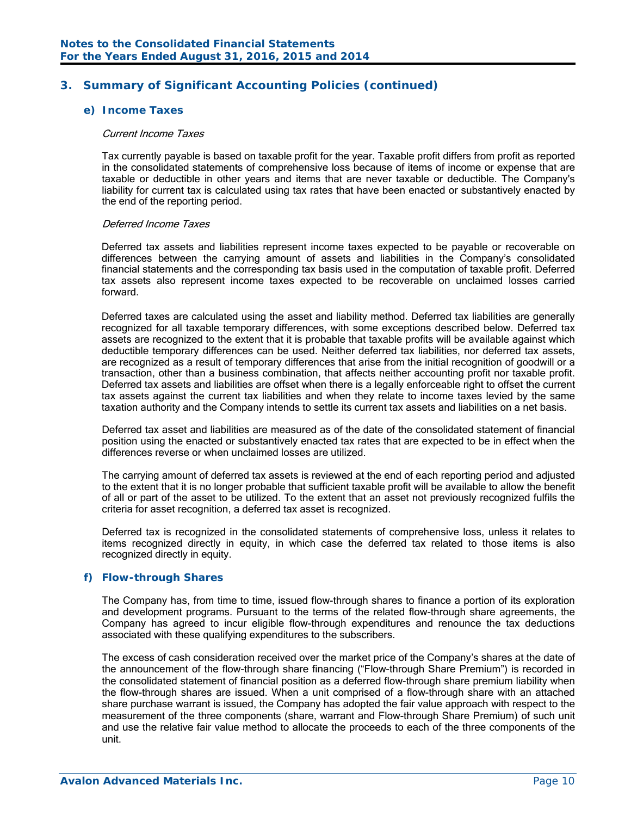#### *e) Income Taxes*

#### Current Income Taxes

 Tax currently payable is based on taxable profit for the year. Taxable profit differs from profit as reported in the consolidated statements of comprehensive loss because of items of income or expense that are taxable or deductible in other years and items that are never taxable or deductible. The Company's liability for current tax is calculated using tax rates that have been enacted or substantively enacted by the end of the reporting period.

#### Deferred Income Taxes

Deferred tax assets and liabilities represent income taxes expected to be payable or recoverable on differences between the carrying amount of assets and liabilities in the Company's consolidated financial statements and the corresponding tax basis used in the computation of taxable profit. Deferred tax assets also represent income taxes expected to be recoverable on unclaimed losses carried forward.

Deferred taxes are calculated using the asset and liability method. Deferred tax liabilities are generally recognized for all taxable temporary differences, with some exceptions described below. Deferred tax assets are recognized to the extent that it is probable that taxable profits will be available against which deductible temporary differences can be used. Neither deferred tax liabilities, nor deferred tax assets, are recognized as a result of temporary differences that arise from the initial recognition of goodwill or a transaction, other than a business combination, that affects neither accounting profit nor taxable profit. Deferred tax assets and liabilities are offset when there is a legally enforceable right to offset the current tax assets against the current tax liabilities and when they relate to income taxes levied by the same taxation authority and the Company intends to settle its current tax assets and liabilities on a net basis.

Deferred tax asset and liabilities are measured as of the date of the consolidated statement of financial position using the enacted or substantively enacted tax rates that are expected to be in effect when the differences reverse or when unclaimed losses are utilized.

The carrying amount of deferred tax assets is reviewed at the end of each reporting period and adjusted to the extent that it is no longer probable that sufficient taxable profit will be available to allow the benefit of all or part of the asset to be utilized. To the extent that an asset not previously recognized fulfils the criteria for asset recognition, a deferred tax asset is recognized.

Deferred tax is recognized in the consolidated statements of comprehensive loss, unless it relates to items recognized directly in equity, in which case the deferred tax related to those items is also recognized directly in equity.

## *f) Flow-through Shares*

The Company has, from time to time, issued flow-through shares to finance a portion of its exploration and development programs. Pursuant to the terms of the related flow-through share agreements, the Company has agreed to incur eligible flow-through expenditures and renounce the tax deductions associated with these qualifying expenditures to the subscribers.

The excess of cash consideration received over the market price of the Company's shares at the date of the announcement of the flow-through share financing ("Flow-through Share Premium") is recorded in the consolidated statement of financial position as a deferred flow-through share premium liability when the flow-through shares are issued. When a unit comprised of a flow-through share with an attached share purchase warrant is issued, the Company has adopted the fair value approach with respect to the measurement of the three components (share, warrant and Flow-through Share Premium) of such unit and use the relative fair value method to allocate the proceeds to each of the three components of the unit.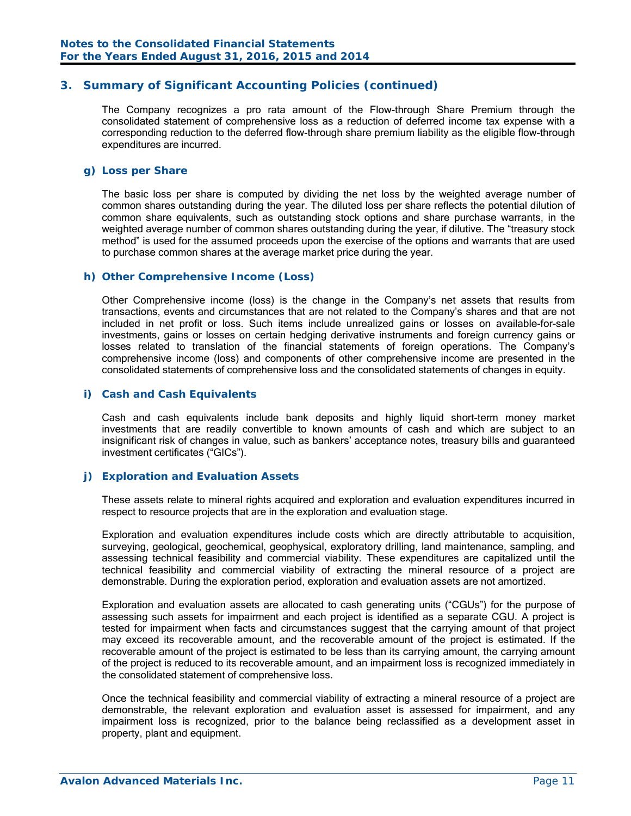The Company recognizes a pro rata amount of the Flow-through Share Premium through the consolidated statement of comprehensive loss as a reduction of deferred income tax expense with a corresponding reduction to the deferred flow-through share premium liability as the eligible flow-through expenditures are incurred.

## *g) Loss per Share*

The basic loss per share is computed by dividing the net loss by the weighted average number of common shares outstanding during the year. The diluted loss per share reflects the potential dilution of common share equivalents, such as outstanding stock options and share purchase warrants, in the weighted average number of common shares outstanding during the year, if dilutive. The "treasury stock method" is used for the assumed proceeds upon the exercise of the options and warrants that are used to purchase common shares at the average market price during the year.

#### *h) Other Comprehensive Income (Loss)*

Other Comprehensive income (loss) is the change in the Company's net assets that results from transactions, events and circumstances that are not related to the Company's shares and that are not included in net profit or loss. Such items include unrealized gains or losses on available-for-sale investments, gains or losses on certain hedging derivative instruments and foreign currency gains or losses related to translation of the financial statements of foreign operations. The Company's comprehensive income (loss) and components of other comprehensive income are presented in the consolidated statements of comprehensive loss and the consolidated statements of changes in equity.

## *i) Cash and Cash Equivalents*

Cash and cash equivalents include bank deposits and highly liquid short-term money market investments that are readily convertible to known amounts of cash and which are subject to an insignificant risk of changes in value, such as bankers' acceptance notes, treasury bills and guaranteed investment certificates ("GICs").

## *j) Exploration and Evaluation Assets*

These assets relate to mineral rights acquired and exploration and evaluation expenditures incurred in respect to resource projects that are in the exploration and evaluation stage.

Exploration and evaluation expenditures include costs which are directly attributable to acquisition, surveying, geological, geochemical, geophysical, exploratory drilling, land maintenance, sampling, and assessing technical feasibility and commercial viability. These expenditures are capitalized until the technical feasibility and commercial viability of extracting the mineral resource of a project are demonstrable. During the exploration period, exploration and evaluation assets are not amortized.

Exploration and evaluation assets are allocated to cash generating units ("CGUs") for the purpose of assessing such assets for impairment and each project is identified as a separate CGU. A project is tested for impairment when facts and circumstances suggest that the carrying amount of that project may exceed its recoverable amount, and the recoverable amount of the project is estimated. If the recoverable amount of the project is estimated to be less than its carrying amount, the carrying amount of the project is reduced to its recoverable amount, and an impairment loss is recognized immediately in the consolidated statement of comprehensive loss.

 Once the technical feasibility and commercial viability of extracting a mineral resource of a project are demonstrable, the relevant exploration and evaluation asset is assessed for impairment, and any impairment loss is recognized, prior to the balance being reclassified as a development asset in property, plant and equipment.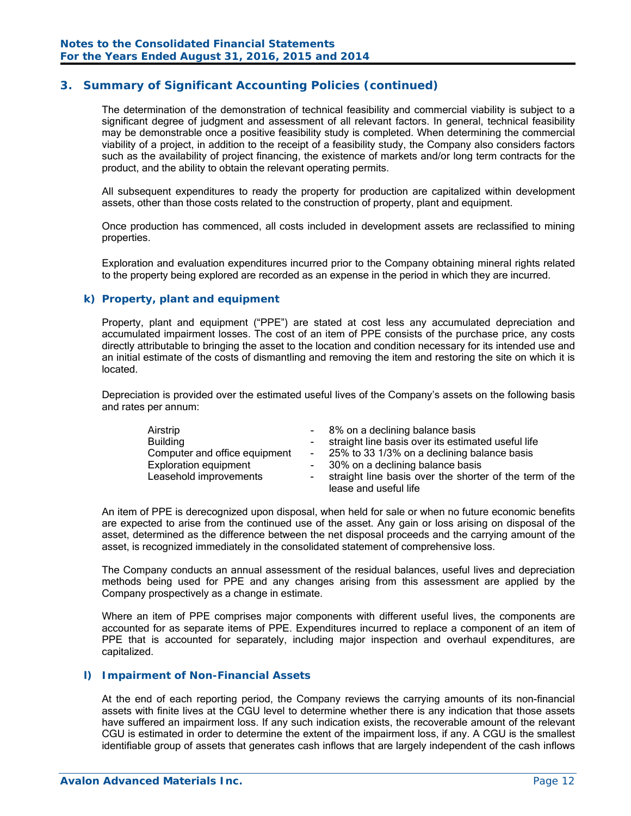The determination of the demonstration of technical feasibility and commercial viability is subject to a significant degree of judgment and assessment of all relevant factors. In general, technical feasibility may be demonstrable once a positive feasibility study is completed. When determining the commercial viability of a project, in addition to the receipt of a feasibility study, the Company also considers factors such as the availability of project financing, the existence of markets and/or long term contracts for the product, and the ability to obtain the relevant operating permits.

All subsequent expenditures to ready the property for production are capitalized within development assets, other than those costs related to the construction of property, plant and equipment.

Once production has commenced, all costs included in development assets are reclassified to mining properties.

Exploration and evaluation expenditures incurred prior to the Company obtaining mineral rights related to the property being explored are recorded as an expense in the period in which they are incurred.

## *k) Property, plant and equipment*

Property, plant and equipment ("PPE") are stated at cost less any accumulated depreciation and accumulated impairment losses. The cost of an item of PPE consists of the purchase price, any costs directly attributable to bringing the asset to the location and condition necessary for its intended use and an initial estimate of the costs of dismantling and removing the item and restoring the site on which it is located.

Depreciation is provided over the estimated useful lives of the Company's assets on the following basis and rates per annum:

| Airstrip<br><b>Building</b><br>Computer and office equipment<br><b>Exploration equipment</b><br>Leasehold improvements | - 8% on a declining balance basis<br>straight line basis over its estimated useful life<br>- 25% to 33 1/3% on a declining balance basis<br>- 30% on a declining balance basis<br>straight line basis over the shorter of the term of the |
|------------------------------------------------------------------------------------------------------------------------|-------------------------------------------------------------------------------------------------------------------------------------------------------------------------------------------------------------------------------------------|
|                                                                                                                        | lease and useful life                                                                                                                                                                                                                     |

An item of PPE is derecognized upon disposal, when held for sale or when no future economic benefits are expected to arise from the continued use of the asset. Any gain or loss arising on disposal of the asset, determined as the difference between the net disposal proceeds and the carrying amount of the asset, is recognized immediately in the consolidated statement of comprehensive loss.

The Company conducts an annual assessment of the residual balances, useful lives and depreciation methods being used for PPE and any changes arising from this assessment are applied by the Company prospectively as a change in estimate.

Where an item of PPE comprises major components with different useful lives, the components are accounted for as separate items of PPE. Expenditures incurred to replace a component of an item of PPE that is accounted for separately, including major inspection and overhaul expenditures, are capitalized.

## *l) Impairment of Non-Financial Assets*

At the end of each reporting period, the Company reviews the carrying amounts of its non-financial assets with finite lives at the CGU level to determine whether there is any indication that those assets have suffered an impairment loss. If any such indication exists, the recoverable amount of the relevant CGU is estimated in order to determine the extent of the impairment loss, if any. A CGU is the smallest identifiable group of assets that generates cash inflows that are largely independent of the cash inflows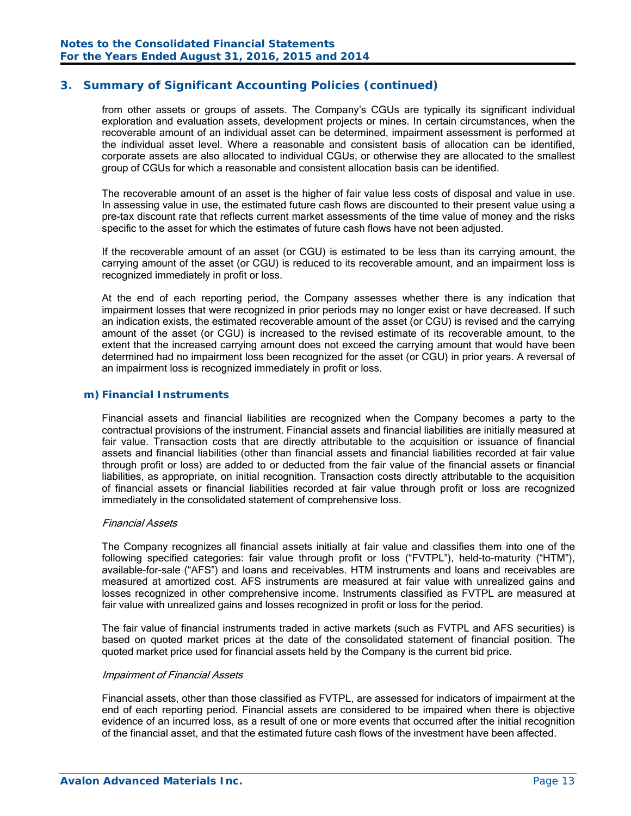from other assets or groups of assets. The Company's CGUs are typically its significant individual exploration and evaluation assets, development projects or mines. In certain circumstances, when the recoverable amount of an individual asset can be determined, impairment assessment is performed at the individual asset level. Where a reasonable and consistent basis of allocation can be identified, corporate assets are also allocated to individual CGUs, or otherwise they are allocated to the smallest group of CGUs for which a reasonable and consistent allocation basis can be identified.

The recoverable amount of an asset is the higher of fair value less costs of disposal and value in use. In assessing value in use, the estimated future cash flows are discounted to their present value using a pre-tax discount rate that reflects current market assessments of the time value of money and the risks specific to the asset for which the estimates of future cash flows have not been adjusted.

If the recoverable amount of an asset (or CGU) is estimated to be less than its carrying amount, the carrying amount of the asset (or CGU) is reduced to its recoverable amount, and an impairment loss is recognized immediately in profit or loss.

At the end of each reporting period, the Company assesses whether there is any indication that impairment losses that were recognized in prior periods may no longer exist or have decreased. If such an indication exists, the estimated recoverable amount of the asset (or CGU) is revised and the carrying amount of the asset (or CGU) is increased to the revised estimate of its recoverable amount, to the extent that the increased carrying amount does not exceed the carrying amount that would have been determined had no impairment loss been recognized for the asset (or CGU) in prior years. A reversal of an impairment loss is recognized immediately in profit or loss.

#### *m) Financial Instruments*

Financial assets and financial liabilities are recognized when the Company becomes a party to the contractual provisions of the instrument. Financial assets and financial liabilities are initially measured at fair value. Transaction costs that are directly attributable to the acquisition or issuance of financial assets and financial liabilities (other than financial assets and financial liabilities recorded at fair value through profit or loss) are added to or deducted from the fair value of the financial assets or financial liabilities, as appropriate, on initial recognition. Transaction costs directly attributable to the acquisition of financial assets or financial liabilities recorded at fair value through profit or loss are recognized immediately in the consolidated statement of comprehensive loss.

#### Financial Assets

The Company recognizes all financial assets initially at fair value and classifies them into one of the following specified categories: fair value through profit or loss ("FVTPL"), held-to-maturity ("HTM"), available-for-sale ("AFS") and loans and receivables. HTM instruments and loans and receivables are measured at amortized cost. AFS instruments are measured at fair value with unrealized gains and losses recognized in other comprehensive income. Instruments classified as FVTPL are measured at fair value with unrealized gains and losses recognized in profit or loss for the period.

 The fair value of financial instruments traded in active markets (such as FVTPL and AFS securities) is based on quoted market prices at the date of the consolidated statement of financial position. The quoted market price used for financial assets held by the Company is the current bid price.

#### Impairment of Financial Assets

Financial assets, other than those classified as FVTPL, are assessed for indicators of impairment at the end of each reporting period. Financial assets are considered to be impaired when there is objective evidence of an incurred loss, as a result of one or more events that occurred after the initial recognition of the financial asset, and that the estimated future cash flows of the investment have been affected.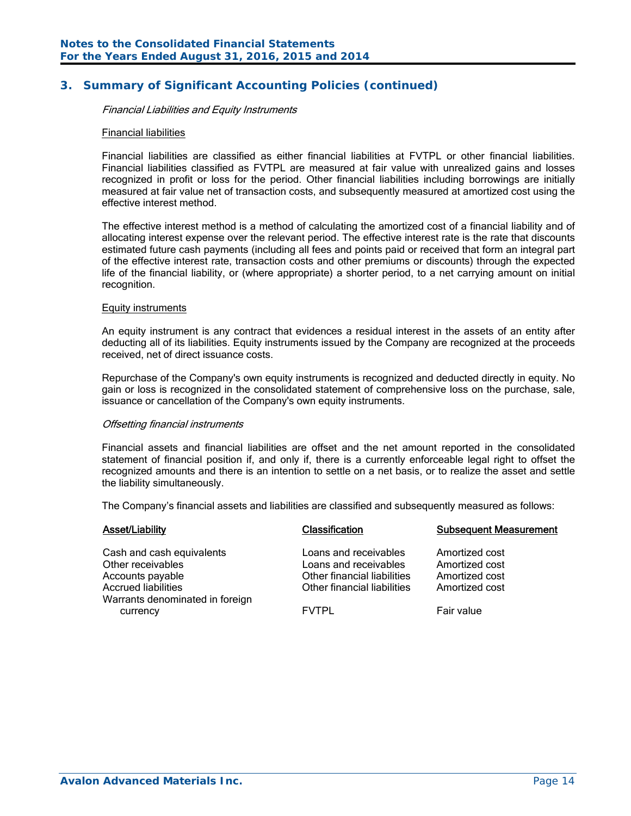#### Financial Liabilities and Equity Instruments

#### Financial liabilities

Financial liabilities are classified as either financial liabilities at FVTPL or other financial liabilities. Financial liabilities classified as FVTPL are measured at fair value with unrealized gains and losses recognized in profit or loss for the period. Other financial liabilities including borrowings are initially measured at fair value net of transaction costs, and subsequently measured at amortized cost using the effective interest method.

The effective interest method is a method of calculating the amortized cost of a financial liability and of allocating interest expense over the relevant period. The effective interest rate is the rate that discounts estimated future cash payments (including all fees and points paid or received that form an integral part of the effective interest rate, transaction costs and other premiums or discounts) through the expected life of the financial liability, or (where appropriate) a shorter period, to a net carrying amount on initial recognition.

#### Equity instruments

An equity instrument is any contract that evidences a residual interest in the assets of an entity after deducting all of its liabilities. Equity instruments issued by the Company are recognized at the proceeds received, net of direct issuance costs.

Repurchase of the Company's own equity instruments is recognized and deducted directly in equity. No gain or loss is recognized in the consolidated statement of comprehensive loss on the purchase, sale, issuance or cancellation of the Company's own equity instruments.

#### Offsetting financial instruments

Financial assets and financial liabilities are offset and the net amount reported in the consolidated statement of financial position if, and only if, there is a currently enforceable legal right to offset the recognized amounts and there is an intention to settle on a net basis, or to realize the asset and settle the liability simultaneously.

The Company's financial assets and liabilities are classified and subsequently measured as follows:

| Asset/Liability                                                                                                                     | Classification                                                                                               | <b>Subsequent Measurement</b>                                        |
|-------------------------------------------------------------------------------------------------------------------------------------|--------------------------------------------------------------------------------------------------------------|----------------------------------------------------------------------|
| Cash and cash equivalents<br>Other receivables<br>Accounts payable<br><b>Accrued liabilities</b><br>Warrants denominated in foreign | Loans and receivables<br>Loans and receivables<br>Other financial liabilities<br>Other financial liabilities | Amortized cost<br>Amortized cost<br>Amortized cost<br>Amortized cost |
| currency                                                                                                                            | <b>FVTPL</b>                                                                                                 | Fair value                                                           |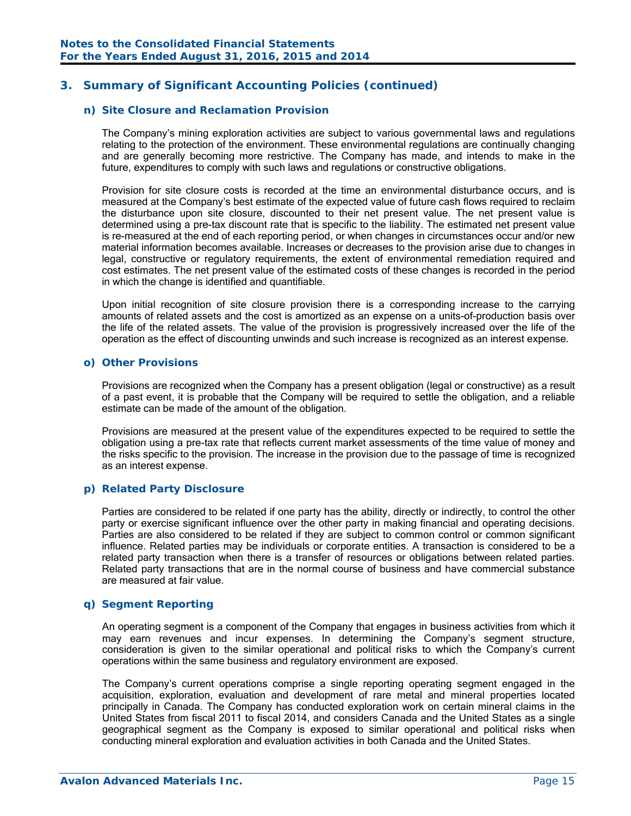## *n) Site Closure and Reclamation Provision*

The Company's mining exploration activities are subject to various governmental laws and regulations relating to the protection of the environment. These environmental regulations are continually changing and are generally becoming more restrictive. The Company has made, and intends to make in the future, expenditures to comply with such laws and regulations or constructive obligations.

Provision for site closure costs is recorded at the time an environmental disturbance occurs, and is measured at the Company's best estimate of the expected value of future cash flows required to reclaim the disturbance upon site closure, discounted to their net present value. The net present value is determined using a pre-tax discount rate that is specific to the liability. The estimated net present value is re-measured at the end of each reporting period, or when changes in circumstances occur and/or new material information becomes available. Increases or decreases to the provision arise due to changes in legal, constructive or regulatory requirements, the extent of environmental remediation required and cost estimates. The net present value of the estimated costs of these changes is recorded in the period in which the change is identified and quantifiable.

Upon initial recognition of site closure provision there is a corresponding increase to the carrying amounts of related assets and the cost is amortized as an expense on a units-of-production basis over the life of the related assets. The value of the provision is progressively increased over the life of the operation as the effect of discounting unwinds and such increase is recognized as an interest expense.

## *o) Other Provisions*

 Provisions are recognized when the Company has a present obligation (legal or constructive) as a result of a past event, it is probable that the Company will be required to settle the obligation, and a reliable estimate can be made of the amount of the obligation.

 Provisions are measured at the present value of the expenditures expected to be required to settle the obligation using a pre-tax rate that reflects current market assessments of the time value of money and the risks specific to the provision. The increase in the provision due to the passage of time is recognized as an interest expense.

## *p) Related Party Disclosure*

 Parties are considered to be related if one party has the ability, directly or indirectly, to control the other party or exercise significant influence over the other party in making financial and operating decisions. Parties are also considered to be related if they are subject to common control or common significant influence. Related parties may be individuals or corporate entities. A transaction is considered to be a related party transaction when there is a transfer of resources or obligations between related parties. Related party transactions that are in the normal course of business and have commercial substance are measured at fair value.

## *q) Segment Reporting*

An operating segment is a component of the Company that engages in business activities from which it may earn revenues and incur expenses. In determining the Company's segment structure, consideration is given to the similar operational and political risks to which the Company's current operations within the same business and regulatory environment are exposed.

The Company's current operations comprise a single reporting operating segment engaged in the acquisition, exploration, evaluation and development of rare metal and mineral properties located principally in Canada. The Company has conducted exploration work on certain mineral claims in the United States from fiscal 2011 to fiscal 2014, and considers Canada and the United States as a single geographical segment as the Company is exposed to similar operational and political risks when conducting mineral exploration and evaluation activities in both Canada and the United States.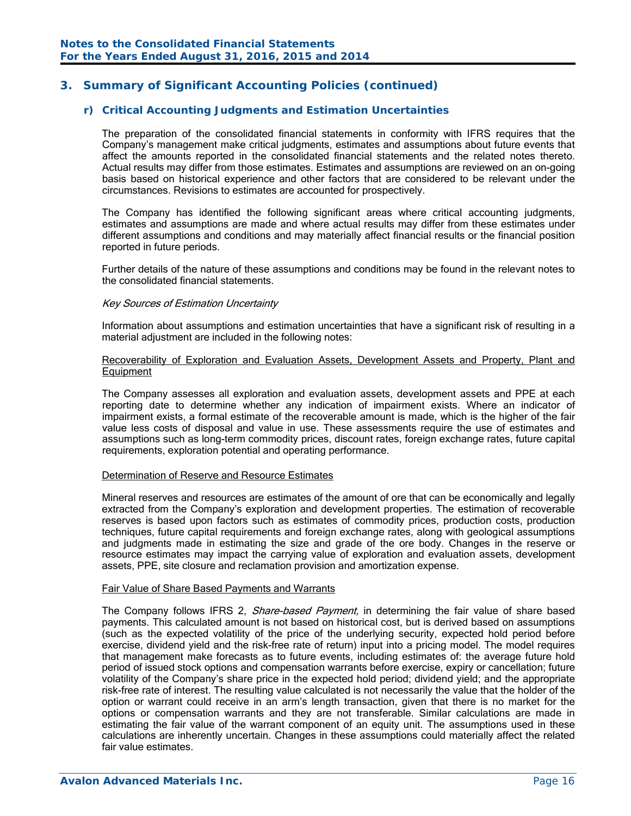## *r) Critical Accounting Judgments and Estimation Uncertainties*

 The preparation of the consolidated financial statements in conformity with IFRS requires that the Company's management make critical judgments, estimates and assumptions about future events that affect the amounts reported in the consolidated financial statements and the related notes thereto. Actual results may differ from those estimates. Estimates and assumptions are reviewed on an on-going basis based on historical experience and other factors that are considered to be relevant under the circumstances. Revisions to estimates are accounted for prospectively.

 The Company has identified the following significant areas where critical accounting judgments, estimates and assumptions are made and where actual results may differ from these estimates under different assumptions and conditions and may materially affect financial results or the financial position reported in future periods.

 Further details of the nature of these assumptions and conditions may be found in the relevant notes to the consolidated financial statements.

#### Key Sources of Estimation Uncertainty

Information about assumptions and estimation uncertainties that have a significant risk of resulting in a material adjustment are included in the following notes:

#### Recoverability of Exploration and Evaluation Assets, Development Assets and Property, Plant and Equipment

 The Company assesses all exploration and evaluation assets, development assets and PPE at each reporting date to determine whether any indication of impairment exists. Where an indicator of impairment exists, a formal estimate of the recoverable amount is made, which is the higher of the fair value less costs of disposal and value in use. These assessments require the use of estimates and assumptions such as long-term commodity prices, discount rates, foreign exchange rates, future capital requirements, exploration potential and operating performance.

#### Determination of Reserve and Resource Estimates

Mineral reserves and resources are estimates of the amount of ore that can be economically and legally extracted from the Company's exploration and development properties. The estimation of recoverable reserves is based upon factors such as estimates of commodity prices, production costs, production techniques, future capital requirements and foreign exchange rates, along with geological assumptions and judgments made in estimating the size and grade of the ore body. Changes in the reserve or resource estimates may impact the carrying value of exploration and evaluation assets, development assets, PPE, site closure and reclamation provision and amortization expense.

#### Fair Value of Share Based Payments and Warrants

The Company follows IFRS 2, Share-based Payment, in determining the fair value of share based payments. This calculated amount is not based on historical cost, but is derived based on assumptions (such as the expected volatility of the price of the underlying security, expected hold period before exercise, dividend yield and the risk-free rate of return) input into a pricing model. The model requires that management make forecasts as to future events, including estimates of: the average future hold period of issued stock options and compensation warrants before exercise, expiry or cancellation; future volatility of the Company's share price in the expected hold period; dividend yield; and the appropriate risk-free rate of interest. The resulting value calculated is not necessarily the value that the holder of the option or warrant could receive in an arm's length transaction, given that there is no market for the options or compensation warrants and they are not transferable. Similar calculations are made in estimating the fair value of the warrant component of an equity unit. The assumptions used in these calculations are inherently uncertain. Changes in these assumptions could materially affect the related fair value estimates.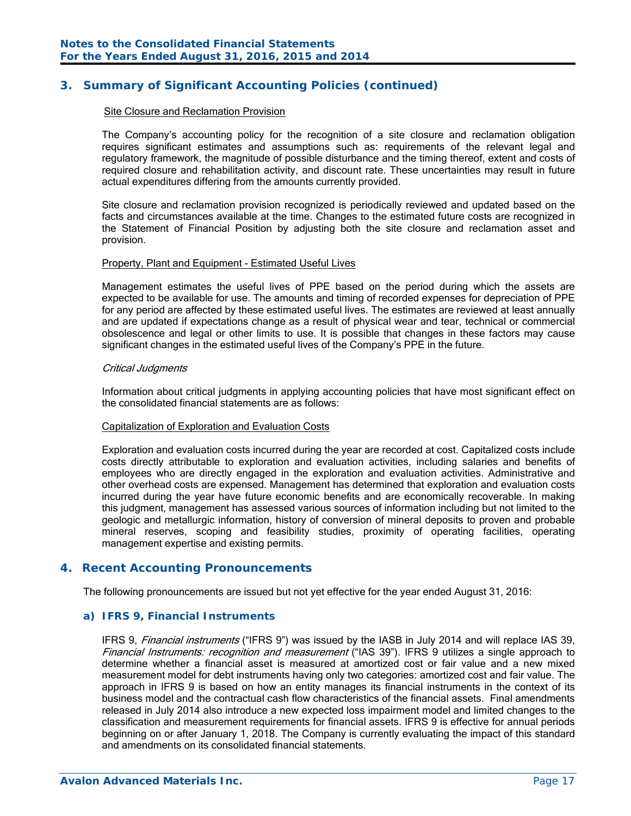#### Site Closure and Reclamation Provision

The Company's accounting policy for the recognition of a site closure and reclamation obligation requires significant estimates and assumptions such as: requirements of the relevant legal and regulatory framework, the magnitude of possible disturbance and the timing thereof, extent and costs of required closure and rehabilitation activity, and discount rate. These uncertainties may result in future actual expenditures differing from the amounts currently provided.

Site closure and reclamation provision recognized is periodically reviewed and updated based on the facts and circumstances available at the time. Changes to the estimated future costs are recognized in the Statement of Financial Position by adjusting both the site closure and reclamation asset and provision.

#### Property, Plant and Equipment - Estimated Useful Lives

Management estimates the useful lives of PPE based on the period during which the assets are expected to be available for use. The amounts and timing of recorded expenses for depreciation of PPE for any period are affected by these estimated useful lives. The estimates are reviewed at least annually and are updated if expectations change as a result of physical wear and tear, technical or commercial obsolescence and legal or other limits to use. It is possible that changes in these factors may cause significant changes in the estimated useful lives of the Company's PPE in the future.

#### Critical Judgments

Information about critical judgments in applying accounting policies that have most significant effect on the consolidated financial statements are as follows:

#### Capitalization of Exploration and Evaluation Costs

Exploration and evaluation costs incurred during the year are recorded at cost. Capitalized costs include costs directly attributable to exploration and evaluation activities, including salaries and benefits of employees who are directly engaged in the exploration and evaluation activities. Administrative and other overhead costs are expensed. Management has determined that exploration and evaluation costs incurred during the year have future economic benefits and are economically recoverable. In making this judgment, management has assessed various sources of information including but not limited to the geologic and metallurgic information, history of conversion of mineral deposits to proven and probable mineral reserves, scoping and feasibility studies, proximity of operating facilities, operating management expertise and existing permits.

## **4. Recent Accounting Pronouncements**

The following pronouncements are issued but not yet effective for the year ended August 31, 2016:

#### *a) IFRS 9, Financial Instruments*

IFRS 9, Financial instruments ("IFRS 9") was issued by the IASB in July 2014 and will replace IAS 39, Financial Instruments: recognition and measurement ("IAS 39"). IFRS 9 utilizes a single approach to determine whether a financial asset is measured at amortized cost or fair value and a new mixed measurement model for debt instruments having only two categories: amortized cost and fair value. The approach in IFRS 9 is based on how an entity manages its financial instruments in the context of its business model and the contractual cash flow characteristics of the financial assets. Final amendments released in July 2014 also introduce a new expected loss impairment model and limited changes to the classification and measurement requirements for financial assets. IFRS 9 is effective for annual periods beginning on or after January 1, 2018. The Company is currently evaluating the impact of this standard and amendments on its consolidated financial statements.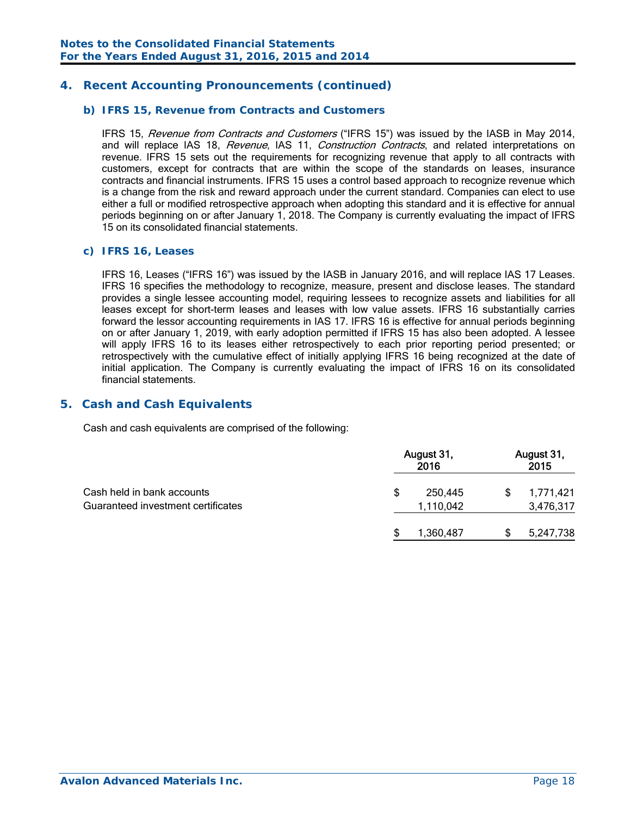# **4. Recent Accounting Pronouncements (continued)**

## *b) IFRS 15, Revenue from Contracts and Customers*

IFRS 15, Revenue from Contracts and Customers ("IFRS 15") was issued by the IASB in May 2014, and will replace IAS 18, Revenue, IAS 11, Construction Contracts, and related interpretations on revenue. IFRS 15 sets out the requirements for recognizing revenue that apply to all contracts with customers, except for contracts that are within the scope of the standards on leases, insurance contracts and financial instruments. IFRS 15 uses a control based approach to recognize revenue which is a change from the risk and reward approach under the current standard. Companies can elect to use either a full or modified retrospective approach when adopting this standard and it is effective for annual periods beginning on or after January 1, 2018. The Company is currently evaluating the impact of IFRS 15 on its consolidated financial statements.

## *c) IFRS 16, Leases*

 IFRS 16, Leases ("IFRS 16") was issued by the IASB in January 2016, and will replace IAS 17 Leases. IFRS 16 specifies the methodology to recognize, measure, present and disclose leases. The standard provides a single lessee accounting model, requiring lessees to recognize assets and liabilities for all leases except for short-term leases and leases with low value assets. IFRS 16 substantially carries forward the lessor accounting requirements in IAS 17. IFRS 16 is effective for annual periods beginning on or after January 1, 2019, with early adoption permitted if IFRS 15 has also been adopted. A lessee will apply IFRS 16 to its leases either retrospectively to each prior reporting period presented; or retrospectively with the cumulative effect of initially applying IFRS 16 being recognized at the date of initial application. The Company is currently evaluating the impact of IFRS 16 on its consolidated financial statements.

## **5. Cash and Cash Equivalents**

Cash and cash equivalents are comprised of the following:

|                                    | August 31,<br>2016 | August 31,<br>2015 |           |  |  |
|------------------------------------|--------------------|--------------------|-----------|--|--|
| Cash held in bank accounts         | 250,445            |                    | 1,771,421 |  |  |
| Guaranteed investment certificates | 1,110,042          |                    | 3,476,317 |  |  |
|                                    | 1,360,487          | S                  | 5,247,738 |  |  |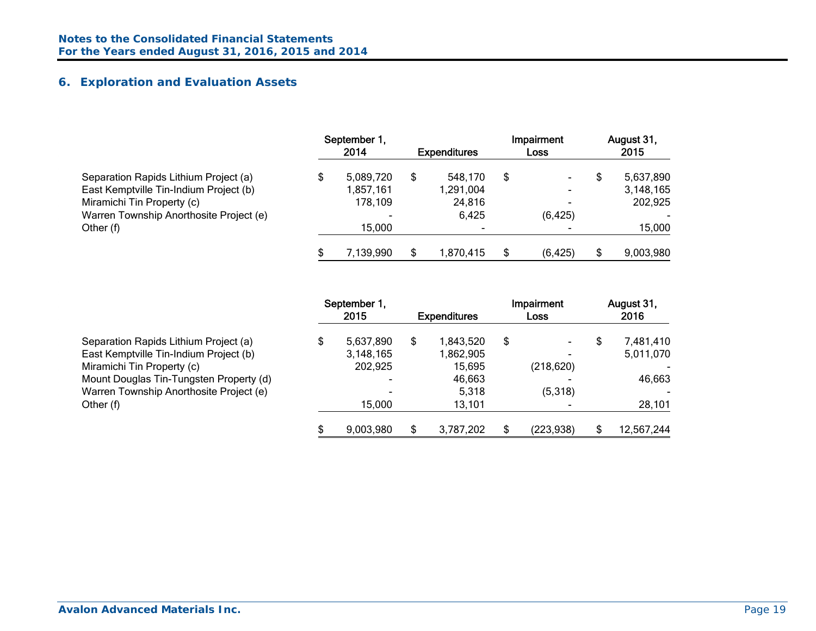# **6. Exploration and Evaluation Assets**

|                                         | September 1,<br>2014 | <b>Expenditures</b> | Impairment<br><b>Loss</b> | August 31,<br>2015 |           |  |
|-----------------------------------------|----------------------|---------------------|---------------------------|--------------------|-----------|--|
| Separation Rapids Lithium Project (a)   | 5.089.720            | 548,170             | \$                        | S                  | 5,637,890 |  |
| East Kemptville Tin-Indium Project (b)  | 1,857,161            | 1,291,004           | $\blacksquare$            |                    | 3,148,165 |  |
| Miramichi Tin Property (c)              | 178,109              | 24,816              |                           |                    | 202,925   |  |
| Warren Township Anorthosite Project (e) |                      | 6.425               | (6, 425)                  |                    |           |  |
| Other (f)                               | 15,000               | -                   |                           |                    | 15,000    |  |
|                                         | 7,139,990            | 1,870,415           | \$<br>(6, 425)            | \$                 | 9,003,980 |  |

| Separation Rapids Lithium Project (a)   |
|-----------------------------------------|
| East Kemptville Tin-Indium Project (b)  |
| Miramichi Tin Property (c)              |
| Mount Douglas Tin-Tungsten Property (d) |
| Warren Township Anorthosite Project (e) |
| Other (f)                               |
|                                         |

|                                         | September 1,<br>2015     | <b>Expenditures</b> |   | Impairment<br><b>Loss</b> | August 31,<br>2016 |
|-----------------------------------------|--------------------------|---------------------|---|---------------------------|--------------------|
| Separation Rapids Lithium Project (a)   | \$<br>5,637,890          | 1,843,520           | S | $\blacksquare$            | \$<br>7,481,410    |
| East Kemptville Tin-Indium Project (b)  | 3,148,165                | 1,862,905           |   |                           | 5,011,070          |
| Miramichi Tin Property (c)              | 202,925                  | 15,695              |   | (218, 620)                |                    |
| Mount Douglas Tin-Tungsten Property (d) | $\overline{\phantom{a}}$ | 46,663              |   |                           | 46,663             |
| Warren Township Anorthosite Project (e) |                          | 5,318               |   | (5,318)                   |                    |
| Other (f)                               | 15,000                   | 13,101              |   |                           | 28,101             |
|                                         | 9,003,980                | 3,787,202           |   | (223, 938)                | 12,567,244         |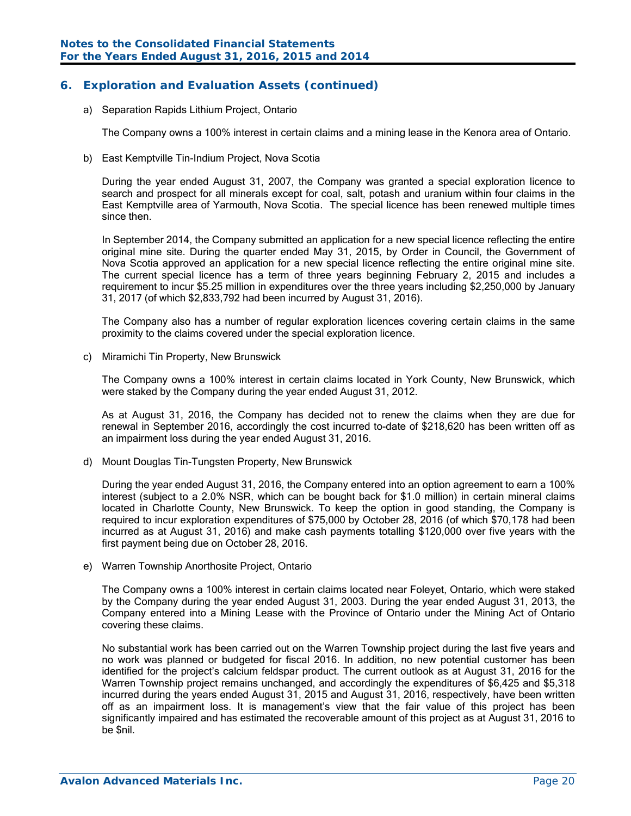# **6. Exploration and Evaluation Assets (continued)**

a) Separation Rapids Lithium Project, Ontario

The Company owns a 100% interest in certain claims and a mining lease in the Kenora area of Ontario.

b) East Kemptville Tin-Indium Project, Nova Scotia

During the year ended August 31, 2007, the Company was granted a special exploration licence to search and prospect for all minerals except for coal, salt, potash and uranium within four claims in the East Kemptville area of Yarmouth, Nova Scotia. The special licence has been renewed multiple times since then.

In September 2014, the Company submitted an application for a new special licence reflecting the entire original mine site. During the quarter ended May 31, 2015, by Order in Council, the Government of Nova Scotia approved an application for a new special licence reflecting the entire original mine site. The current special licence has a term of three years beginning February 2, 2015 and includes a requirement to incur \$5.25 million in expenditures over the three years including \$2,250,000 by January 31, 2017 (of which \$2,833,792 had been incurred by August 31, 2016).

The Company also has a number of regular exploration licences covering certain claims in the same proximity to the claims covered under the special exploration licence.

c) Miramichi Tin Property, New Brunswick

The Company owns a 100% interest in certain claims located in York County, New Brunswick, which were staked by the Company during the year ended August 31, 2012.

As at August 31, 2016, the Company has decided not to renew the claims when they are due for renewal in September 2016, accordingly the cost incurred to-date of \$218,620 has been written off as an impairment loss during the year ended August 31, 2016.

d) Mount Douglas Tin-Tungsten Property, New Brunswick

During the year ended August 31, 2016, the Company entered into an option agreement to earn a 100% interest (subject to a 2.0% NSR, which can be bought back for \$1.0 million) in certain mineral claims located in Charlotte County, New Brunswick. To keep the option in good standing, the Company is required to incur exploration expenditures of \$75,000 by October 28, 2016 (of which \$70,178 had been incurred as at August 31, 2016) and make cash payments totalling \$120,000 over five years with the first payment being due on October 28, 2016.

e) Warren Township Anorthosite Project, Ontario

The Company owns a 100% interest in certain claims located near Foleyet, Ontario, which were staked by the Company during the year ended August 31, 2003. During the year ended August 31, 2013, the Company entered into a Mining Lease with the Province of Ontario under the Mining Act of Ontario covering these claims.

No substantial work has been carried out on the Warren Township project during the last five years and no work was planned or budgeted for fiscal 2016. In addition, no new potential customer has been identified for the project's calcium feldspar product. The current outlook as at August 31, 2016 for the Warren Township project remains unchanged, and accordingly the expenditures of \$6,425 and \$5,318 incurred during the years ended August 31, 2015 and August 31, 2016, respectively, have been written off as an impairment loss. It is management's view that the fair value of this project has been significantly impaired and has estimated the recoverable amount of this project as at August 31, 2016 to be \$nil.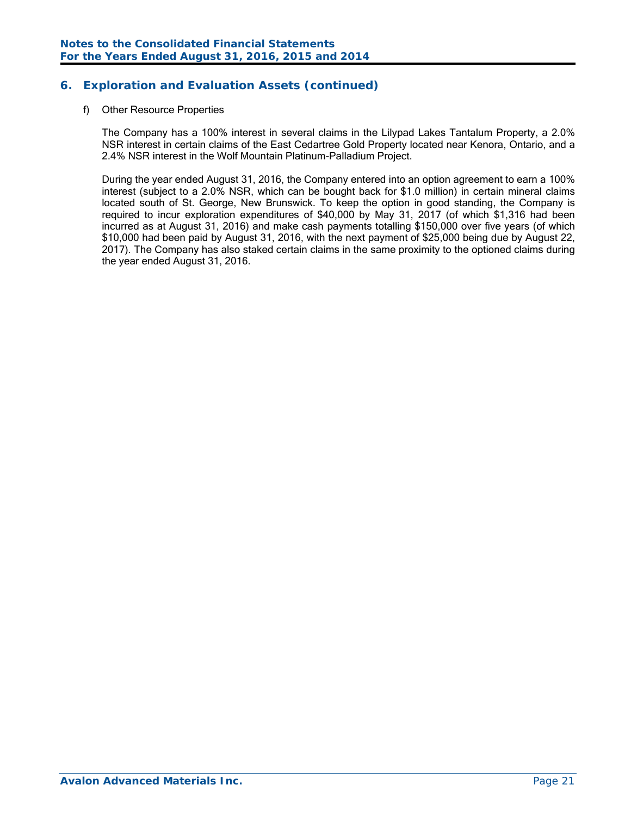# **6. Exploration and Evaluation Assets (continued)**

#### f) Other Resource Properties

The Company has a 100% interest in several claims in the Lilypad Lakes Tantalum Property, a 2.0% NSR interest in certain claims of the East Cedartree Gold Property located near Kenora, Ontario, and a 2.4% NSR interest in the Wolf Mountain Platinum-Palladium Project.

During the year ended August 31, 2016, the Company entered into an option agreement to earn a 100% interest (subject to a 2.0% NSR, which can be bought back for \$1.0 million) in certain mineral claims located south of St. George, New Brunswick. To keep the option in good standing, the Company is required to incur exploration expenditures of \$40,000 by May 31, 2017 (of which \$1,316 had been incurred as at August 31, 2016) and make cash payments totalling \$150,000 over five years (of which \$10,000 had been paid by August 31, 2016, with the next payment of \$25,000 being due by August 22, 2017). The Company has also staked certain claims in the same proximity to the optioned claims during the year ended August 31, 2016.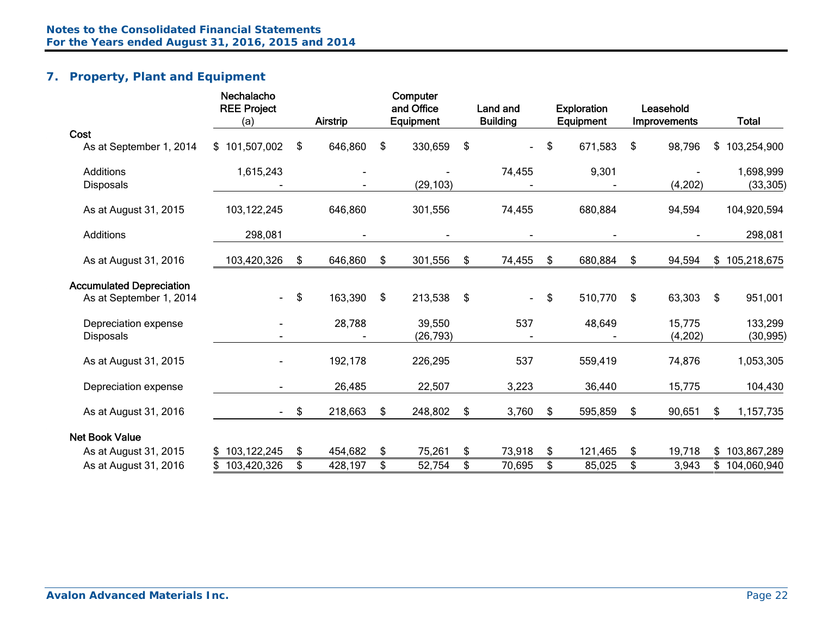# **7. Property, Plant and Equipment**

|                                                            | Nechalacho<br><b>REE Project</b><br>(a) |     | Airstrip | Computer<br>and Office<br>Equipment | Land and<br><b>Building</b> | <b>Exploration</b><br>Equipment | Leasehold<br>Improvements | <b>Total</b>         |
|------------------------------------------------------------|-----------------------------------------|-----|----------|-------------------------------------|-----------------------------|---------------------------------|---------------------------|----------------------|
| Cost                                                       |                                         |     |          |                                     |                             |                                 |                           |                      |
| As at September 1, 2014                                    | \$101,507,002                           | \$  | 646,860  | \$<br>330,659                       | \$                          | \$<br>671,583                   | \$<br>98,796              | \$<br>103,254,900    |
| Additions                                                  | 1,615,243                               |     |          |                                     | 74,455                      | 9,301                           |                           | 1,698,999            |
| <b>Disposals</b>                                           |                                         |     |          | (29, 103)                           |                             |                                 | (4,202)                   | (33, 305)            |
| As at August 31, 2015                                      | 103, 122, 245                           |     | 646,860  | 301,556                             | 74,455                      | 680,884                         | 94,594                    | 104,920,594          |
| Additions                                                  | 298,081                                 |     |          |                                     |                             | $\blacksquare$                  |                           | 298,081              |
| As at August 31, 2016                                      | 103,420,326                             | \$  | 646,860  | \$<br>301,556                       | \$<br>74,455                | \$<br>680,884                   | \$<br>94,594              | \$105,218,675        |
| <b>Accumulated Depreciation</b><br>As at September 1, 2014 | $\blacksquare$                          | \$  | 163,390  | \$<br>213,538                       | \$<br>$\sim$                | \$<br>510,770                   | \$<br>63,303              | \$<br>951,001        |
| Depreciation expense<br><b>Disposals</b>                   |                                         |     | 28,788   | 39,550<br>(26, 793)                 | 537                         | 48,649                          | 15,775<br>(4,202)         | 133,299<br>(30, 995) |
| As at August 31, 2015                                      |                                         |     | 192,178  | 226,295                             | 537                         | 559,419                         | 74,876                    | 1,053,305            |
| Depreciation expense                                       |                                         |     | 26,485   | 22,507                              | 3,223                       | 36,440                          | 15,775                    | 104,430              |
| As at August 31, 2016                                      | $\sim$                                  | -\$ | 218,663  | \$<br>248,802                       | \$<br>3,760                 | \$<br>595,859                   | \$<br>90,651              | \$<br>1,157,735      |
| <b>Net Book Value</b>                                      |                                         |     |          |                                     |                             |                                 |                           |                      |
| As at August 31, 2015                                      | \$103,122,245                           | \$  | 454,682  | \$<br>75,261                        | \$<br>73,918                | \$<br>121,465                   | \$<br>19,718              | \$<br>103,867,289    |
| As at August 31, 2016                                      | 103,420,326                             | \$  | 428,197  | \$<br>52,754                        | \$<br>70,695                | \$<br>85,025                    | \$<br>3,943               | \$<br>104,060,940    |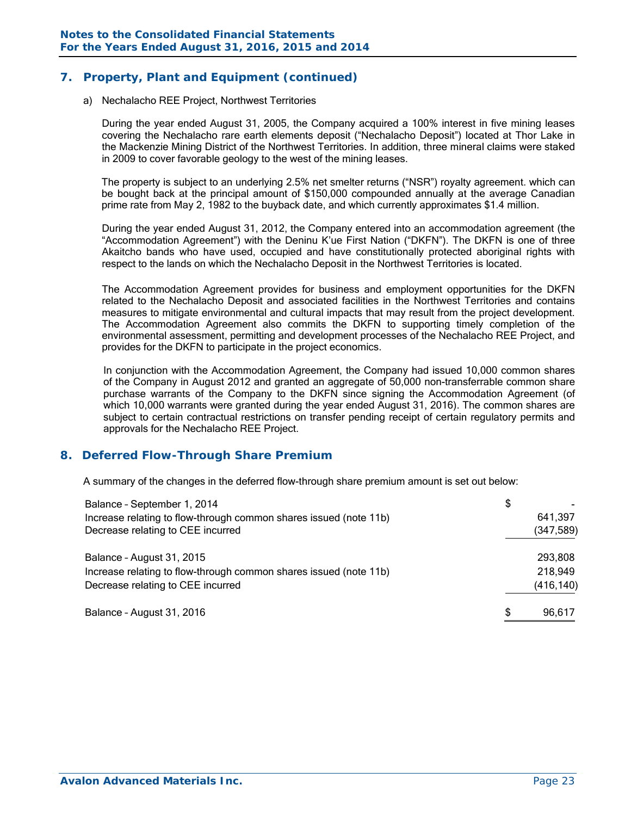# **7. Property, Plant and Equipment (continued)**

a) Nechalacho REE Project, Northwest Territories

During the year ended August 31, 2005, the Company acquired a 100% interest in five mining leases covering the Nechalacho rare earth elements deposit ("Nechalacho Deposit") located at Thor Lake in the Mackenzie Mining District of the Northwest Territories. In addition, three mineral claims were staked in 2009 to cover favorable geology to the west of the mining leases.

The property is subject to an underlying 2.5% net smelter returns ("NSR") royalty agreement. which can be bought back at the principal amount of \$150,000 compounded annually at the average Canadian prime rate from May 2, 1982 to the buyback date, and which currently approximates \$1.4 million.

During the year ended August 31, 2012, the Company entered into an accommodation agreement (the "Accommodation Agreement") with the Deninu K'ue First Nation ("DKFN"). The DKFN is one of three Akaitcho bands who have used, occupied and have constitutionally protected aboriginal rights with respect to the lands on which the Nechalacho Deposit in the Northwest Territories is located.

The Accommodation Agreement provides for business and employment opportunities for the DKFN related to the Nechalacho Deposit and associated facilities in the Northwest Territories and contains measures to mitigate environmental and cultural impacts that may result from the project development. The Accommodation Agreement also commits the DKFN to supporting timely completion of the environmental assessment, permitting and development processes of the Nechalacho REE Project, and provides for the DKFN to participate in the project economics.

In conjunction with the Accommodation Agreement, the Company had issued 10,000 common shares of the Company in August 2012 and granted an aggregate of 50,000 non-transferrable common share purchase warrants of the Company to the DKFN since signing the Accommodation Agreement (of which 10,000 warrants were granted during the year ended August 31, 2016). The common shares are subject to certain contractual restrictions on transfer pending receipt of certain regulatory permits and approvals for the Nechalacho REE Project.

## **8. Deferred Flow-Through Share Premium**

A summary of the changes in the deferred flow-through share premium amount is set out below:

| Balance - September 1, 2014<br>Increase relating to flow-through common shares issued (note 11b)<br>Decrease relating to CEE incurred | \$<br>641,397<br>(347, 589)      |
|---------------------------------------------------------------------------------------------------------------------------------------|----------------------------------|
| Balance - August 31, 2015<br>Increase relating to flow-through common shares issued (note 11b)<br>Decrease relating to CEE incurred   | 293,808<br>218,949<br>(416, 140) |
| Balance - August 31, 2016                                                                                                             | \$<br>96,617                     |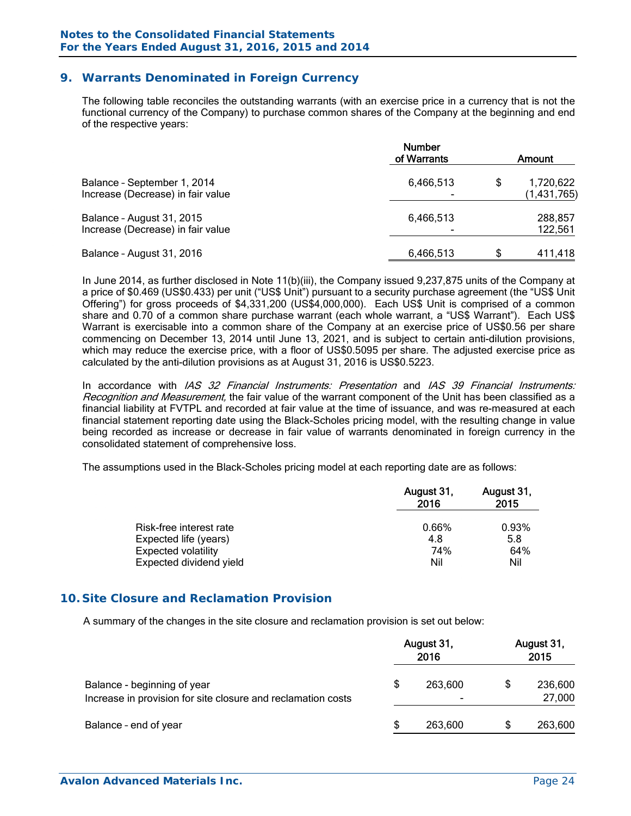## **9. Warrants Denominated in Foreign Currency**

The following table reconciles the outstanding warrants (with an exercise price in a currency that is not the functional currency of the Company) to purchase common shares of the Company at the beginning and end of the respective years:

|                                                                  | <b>Number</b><br>of Warrants | Amount                         |
|------------------------------------------------------------------|------------------------------|--------------------------------|
| Balance - September 1, 2014<br>Increase (Decrease) in fair value | 6,466,513                    | \$<br>1,720,622<br>(1,431,765) |
| Balance - August 31, 2015<br>Increase (Decrease) in fair value   | 6,466,513                    | 288,857<br>122,561             |
| Balance - August 31, 2016                                        | 6.466.513                    | 411.418                        |

In June 2014, as further disclosed in Note 11(b)(iii), the Company issued 9,237,875 units of the Company at a price of \$0.469 (US\$0.433) per unit ("US\$ Unit") pursuant to a security purchase agreement (the "US\$ Unit Offering") for gross proceeds of \$4,331,200 (US\$4,000,000). Each US\$ Unit is comprised of a common share and 0.70 of a common share purchase warrant (each whole warrant, a "US\$ Warrant"). Each US\$ Warrant is exercisable into a common share of the Company at an exercise price of US\$0.56 per share commencing on December 13, 2014 until June 13, 2021, and is subject to certain anti-dilution provisions, which may reduce the exercise price, with a floor of US\$0.5095 per share. The adjusted exercise price as calculated by the anti-dilution provisions as at August 31, 2016 is US\$0.5223.

In accordance with IAS 32 Financial Instruments: Presentation and IAS 39 Financial Instruments: Recognition and Measurement, the fair value of the warrant component of the Unit has been classified as a financial liability at FVTPL and recorded at fair value at the time of issuance, and was re-measured at each financial statement reporting date using the Black-Scholes pricing model, with the resulting change in value being recorded as increase or decrease in fair value of warrants denominated in foreign currency in the consolidated statement of comprehensive loss.

The assumptions used in the Black-Scholes pricing model at each reporting date are as follows:

|                            | August 31,<br>2016 |       |
|----------------------------|--------------------|-------|
| Risk-free interest rate    | 0.66%              | 0.93% |
| Expected life (years)      | 4.8                | 5.8   |
| <b>Expected volatility</b> | 74%                | 64%   |
| Expected dividend yield    | Nil                | Nil   |

## **10. Site Closure and Reclamation Provision**

A summary of the changes in the site closure and reclamation provision is set out below:

|                                                                                             |     | August 31,<br>2016        |  | August 31,<br>2015 |  |
|---------------------------------------------------------------------------------------------|-----|---------------------------|--|--------------------|--|
| Balance - beginning of year<br>Increase in provision for site closure and reclamation costs | \$  | 263,600<br>$\blacksquare$ |  | 236,600<br>27,000  |  |
| Balance - end of year                                                                       | \$. | 263,600                   |  | 263,600            |  |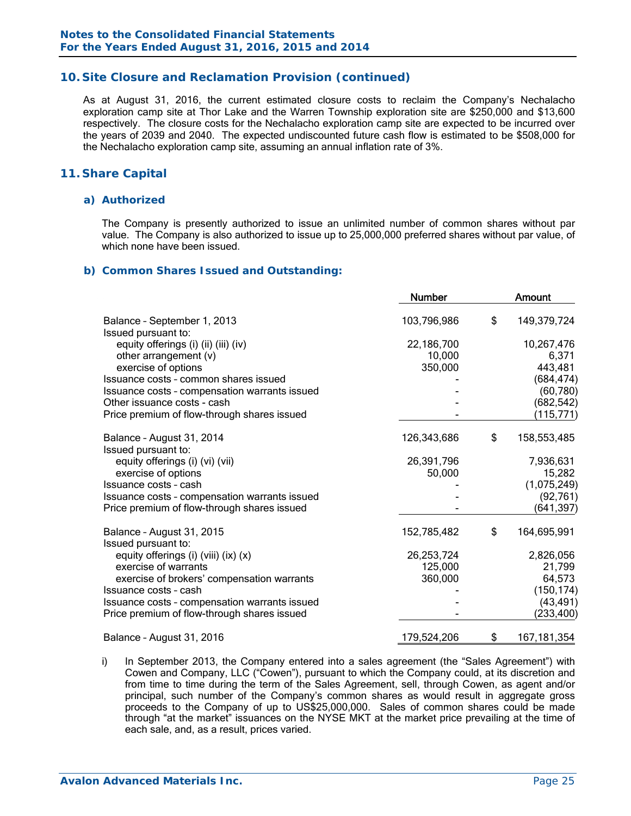## **10. Site Closure and Reclamation Provision (continued)**

As at August 31, 2016, the current estimated closure costs to reclaim the Company's Nechalacho exploration camp site at Thor Lake and the Warren Township exploration site are \$250,000 and \$13,600 respectively. The closure costs for the Nechalacho exploration camp site are expected to be incurred over the years of 2039 and 2040. The expected undiscounted future cash flow is estimated to be \$508,000 for the Nechalacho exploration camp site, assuming an annual inflation rate of 3%.

## **11. Share Capital**

#### *a) Authorized*

The Company is presently authorized to issue an unlimited number of common shares without par value. The Company is also authorized to issue up to 25,000,000 preferred shares without par value, of which none have been issued.

#### *b) Common Shares Issued and Outstanding:*

|                                                  | <b>Number</b> | Amount              |
|--------------------------------------------------|---------------|---------------------|
| Balance - September 1, 2013                      | 103,796,986   | \$<br>149,379,724   |
| Issued pursuant to:                              |               |                     |
| equity offerings (i) (ii) (iii) (iv)             | 22,186,700    | 10,267,476          |
| other arrangement (v)                            | 10,000        | 6,371               |
| exercise of options                              | 350,000       | 443,481             |
| Issuance costs - common shares issued            |               | (684, 474)          |
| Issuance costs - compensation warrants issued    |               | (60, 780)           |
| Other issuance costs - cash                      |               | (682, 542)          |
| Price premium of flow-through shares issued      |               | (115, 771)          |
| Balance - August 31, 2014                        | 126,343,686   | \$<br>158,553,485   |
| Issued pursuant to:                              |               |                     |
| equity offerings (i) (vi) (vii)                  | 26,391,796    | 7,936,631           |
| exercise of options                              | 50,000        | 15,282              |
| Issuance costs - cash                            |               | (1,075,249)         |
| Issuance costs - compensation warrants issued    |               | (92, 761)           |
| Price premium of flow-through shares issued      |               | (641,397)           |
| Balance - August 31, 2015<br>Issued pursuant to: | 152,785,482   | \$<br>164,695,991   |
| equity offerings (i) (viii) (ix) (x)             | 26,253,724    | 2,826,056           |
| exercise of warrants                             | 125,000       | 21,799              |
| exercise of brokers' compensation warrants       | 360,000       | 64,573              |
| Issuance costs - cash                            |               | (150, 174)          |
|                                                  |               |                     |
| Issuance costs - compensation warrants issued    |               | (43, 491)           |
| Price premium of flow-through shares issued      |               | (233, 400)          |
| Balance - August 31, 2016                        | 179,524,206   | \$<br>167, 181, 354 |

i) In September 2013, the Company entered into a sales agreement (the "Sales Agreement") with Cowen and Company, LLC ("Cowen"), pursuant to which the Company could, at its discretion and from time to time during the term of the Sales Agreement, sell, through Cowen, as agent and/or principal, such number of the Company's common shares as would result in aggregate gross proceeds to the Company of up to US\$25,000,000. Sales of common shares could be made through "at the market" issuances on the NYSE MKT at the market price prevailing at the time of each sale, and, as a result, prices varied.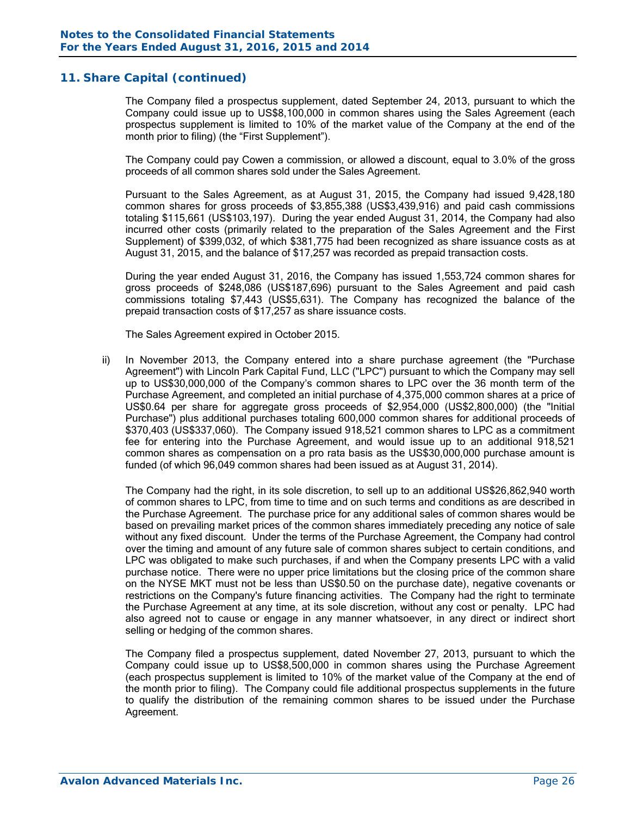The Company filed a prospectus supplement, dated September 24, 2013, pursuant to which the Company could issue up to US\$8,100,000 in common shares using the Sales Agreement (each prospectus supplement is limited to 10% of the market value of the Company at the end of the month prior to filing) (the "First Supplement").

The Company could pay Cowen a commission, or allowed a discount, equal to 3.0% of the gross proceeds of all common shares sold under the Sales Agreement.

Pursuant to the Sales Agreement, as at August 31, 2015, the Company had issued 9,428,180 common shares for gross proceeds of \$3,855,388 (US\$3,439,916) and paid cash commissions totaling \$115,661 (US\$103,197). During the year ended August 31, 2014, the Company had also incurred other costs (primarily related to the preparation of the Sales Agreement and the First Supplement) of \$399,032, of which \$381,775 had been recognized as share issuance costs as at August 31, 2015, and the balance of \$17,257 was recorded as prepaid transaction costs.

During the year ended August 31, 2016, the Company has issued 1,553,724 common shares for gross proceeds of \$248,086 (US\$187,696) pursuant to the Sales Agreement and paid cash commissions totaling \$7,443 (US\$5,631). The Company has recognized the balance of the prepaid transaction costs of \$17,257 as share issuance costs.

The Sales Agreement expired in October 2015.

ii) In November 2013, the Company entered into a share purchase agreement (the "Purchase Agreement") with Lincoln Park Capital Fund, LLC ("LPC") pursuant to which the Company may sell up to US\$30,000,000 of the Company's common shares to LPC over the 36 month term of the Purchase Agreement, and completed an initial purchase of 4,375,000 common shares at a price of US\$0.64 per share for aggregate gross proceeds of \$2,954,000 (US\$2,800,000) (the "Initial Purchase") plus additional purchases totaling 600,000 common shares for additional proceeds of \$370,403 (US\$337,060). The Company issued 918,521 common shares to LPC as a commitment fee for entering into the Purchase Agreement, and would issue up to an additional 918,521 common shares as compensation on a pro rata basis as the US\$30,000,000 purchase amount is funded (of which 96,049 common shares had been issued as at August 31, 2014).

The Company had the right, in its sole discretion, to sell up to an additional US\$26,862,940 worth of common shares to LPC, from time to time and on such terms and conditions as are described in the Purchase Agreement. The purchase price for any additional sales of common shares would be based on prevailing market prices of the common shares immediately preceding any notice of sale without any fixed discount. Under the terms of the Purchase Agreement, the Company had control over the timing and amount of any future sale of common shares subject to certain conditions, and LPC was obligated to make such purchases, if and when the Company presents LPC with a valid purchase notice. There were no upper price limitations but the closing price of the common share on the NYSE MKT must not be less than US\$0.50 on the purchase date), negative covenants or restrictions on the Company's future financing activities. The Company had the right to terminate the Purchase Agreement at any time, at its sole discretion, without any cost or penalty. LPC had also agreed not to cause or engage in any manner whatsoever, in any direct or indirect short selling or hedging of the common shares.

The Company filed a prospectus supplement, dated November 27, 2013, pursuant to which the Company could issue up to US\$8,500,000 in common shares using the Purchase Agreement (each prospectus supplement is limited to 10% of the market value of the Company at the end of the month prior to filing). The Company could file additional prospectus supplements in the future to qualify the distribution of the remaining common shares to be issued under the Purchase Agreement.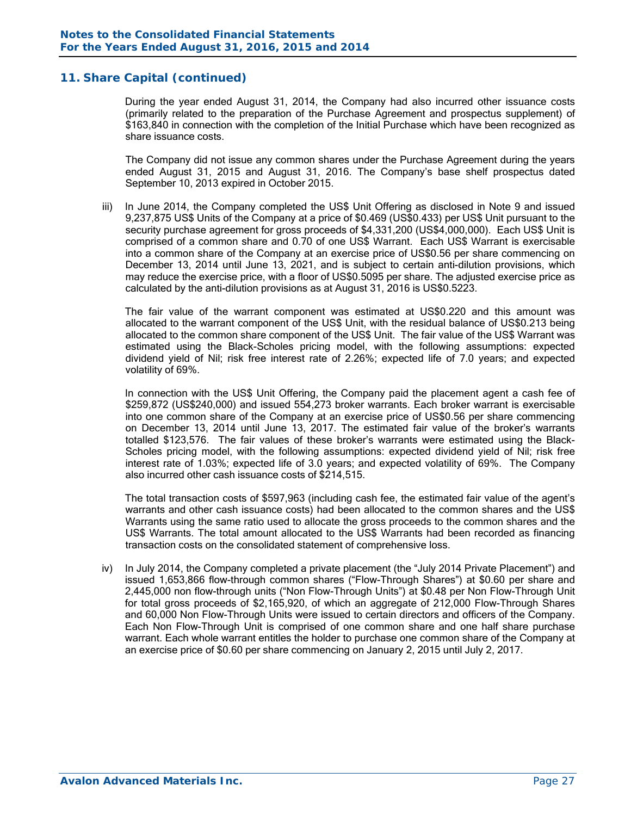During the year ended August 31, 2014, the Company had also incurred other issuance costs (primarily related to the preparation of the Purchase Agreement and prospectus supplement) of \$163,840 in connection with the completion of the Initial Purchase which have been recognized as share issuance costs.

The Company did not issue any common shares under the Purchase Agreement during the years ended August 31, 2015 and August 31, 2016. The Company's base shelf prospectus dated September 10, 2013 expired in October 2015.

iii) In June 2014, the Company completed the US\$ Unit Offering as disclosed in Note 9 and issued 9,237,875 US\$ Units of the Company at a price of \$0.469 (US\$0.433) per US\$ Unit pursuant to the security purchase agreement for gross proceeds of \$4,331,200 (US\$4,000,000). Each US\$ Unit is comprised of a common share and 0.70 of one US\$ Warrant. Each US\$ Warrant is exercisable into a common share of the Company at an exercise price of US\$0.56 per share commencing on December 13, 2014 until June 13, 2021, and is subject to certain anti-dilution provisions, which may reduce the exercise price, with a floor of US\$0.5095 per share. The adjusted exercise price as calculated by the anti-dilution provisions as at August 31, 2016 is US\$0.5223.

 The fair value of the warrant component was estimated at US\$0.220 and this amount was allocated to the warrant component of the US\$ Unit, with the residual balance of US\$0.213 being allocated to the common share component of the US\$ Unit. The fair value of the US\$ Warrant was estimated using the Black-Scholes pricing model, with the following assumptions: expected dividend yield of Nil; risk free interest rate of 2.26%; expected life of 7.0 years; and expected volatility of 69%.

 In connection with the US\$ Unit Offering, the Company paid the placement agent a cash fee of \$259,872 (US\$240,000) and issued 554,273 broker warrants. Each broker warrant is exercisable into one common share of the Company at an exercise price of US\$0.56 per share commencing on December 13, 2014 until June 13, 2017. The estimated fair value of the broker's warrants totalled \$123,576. The fair values of these broker's warrants were estimated using the Black-Scholes pricing model, with the following assumptions: expected dividend yield of Nil; risk free interest rate of 1.03%; expected life of 3.0 years; and expected volatility of 69%. The Company also incurred other cash issuance costs of \$214,515.

 The total transaction costs of \$597,963 (including cash fee, the estimated fair value of the agent's warrants and other cash issuance costs) had been allocated to the common shares and the US\$ Warrants using the same ratio used to allocate the gross proceeds to the common shares and the US\$ Warrants. The total amount allocated to the US\$ Warrants had been recorded as financing transaction costs on the consolidated statement of comprehensive loss.

iv) In July 2014, the Company completed a private placement (the "July 2014 Private Placement") and issued 1,653,866 flow-through common shares ("Flow-Through Shares") at \$0.60 per share and 2,445,000 non flow-through units ("Non Flow-Through Units") at \$0.48 per Non Flow-Through Unit for total gross proceeds of \$2,165,920, of which an aggregate of 212,000 Flow-Through Shares and 60,000 Non Flow-Through Units were issued to certain directors and officers of the Company. Each Non Flow-Through Unit is comprised of one common share and one half share purchase warrant. Each whole warrant entitles the holder to purchase one common share of the Company at an exercise price of \$0.60 per share commencing on January 2, 2015 until July 2, 2017.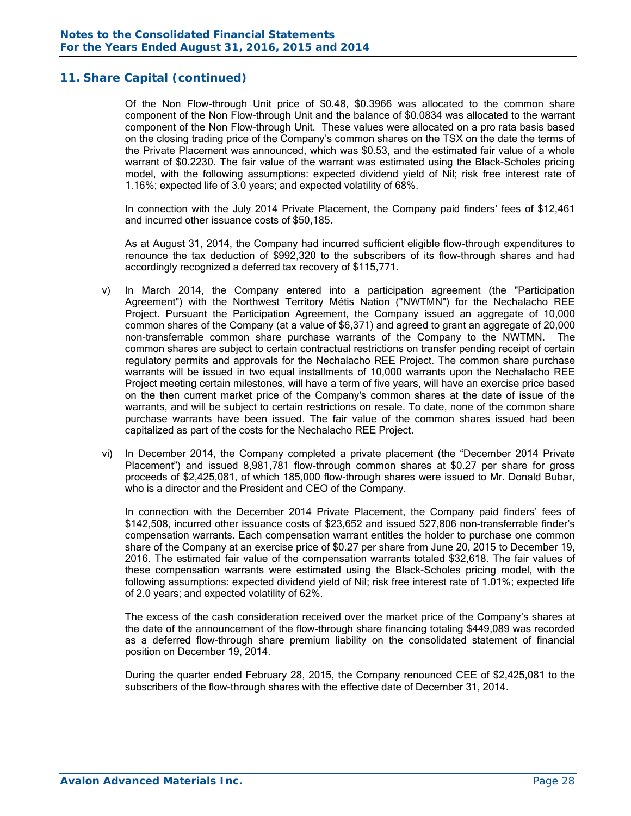Of the Non Flow-through Unit price of \$0.48, \$0.3966 was allocated to the common share component of the Non Flow-through Unit and the balance of \$0.0834 was allocated to the warrant component of the Non Flow-through Unit. These values were allocated on a pro rata basis based on the closing trading price of the Company's common shares on the TSX on the date the terms of the Private Placement was announced, which was \$0.53, and the estimated fair value of a whole warrant of \$0.2230. The fair value of the warrant was estimated using the Black-Scholes pricing model, with the following assumptions: expected dividend yield of Nil; risk free interest rate of 1.16%; expected life of 3.0 years; and expected volatility of 68%.

 In connection with the July 2014 Private Placement, the Company paid finders' fees of \$12,461 and incurred other issuance costs of \$50,185.

 As at August 31, 2014, the Company had incurred sufficient eligible flow-through expenditures to renounce the tax deduction of \$992,320 to the subscribers of its flow-through shares and had accordingly recognized a deferred tax recovery of \$115,771.

- v) In March 2014, the Company entered into a participation agreement (the "Participation Agreement") with the Northwest Territory Métis Nation ("NWTMN") for the Nechalacho REE Project. Pursuant the Participation Agreement, the Company issued an aggregate of 10,000 common shares of the Company (at a value of \$6,371) and agreed to grant an aggregate of 20,000 non-transferrable common share purchase warrants of the Company to the NWTMN. The common shares are subject to certain contractual restrictions on transfer pending receipt of certain regulatory permits and approvals for the Nechalacho REE Project. The common share purchase warrants will be issued in two equal installments of 10,000 warrants upon the Nechalacho REE Project meeting certain milestones, will have a term of five years, will have an exercise price based on the then current market price of the Company's common shares at the date of issue of the warrants, and will be subject to certain restrictions on resale. To date, none of the common share purchase warrants have been issued. The fair value of the common shares issued had been capitalized as part of the costs for the Nechalacho REE Project.
- vi) In December 2014, the Company completed a private placement (the "December 2014 Private Placement") and issued 8,981,781 flow-through common shares at \$0.27 per share for gross proceeds of \$2,425,081, of which 185,000 flow-through shares were issued to Mr. Donald Bubar, who is a director and the President and CEO of the Company.

 In connection with the December 2014 Private Placement, the Company paid finders' fees of \$142,508, incurred other issuance costs of \$23,652 and issued 527,806 non-transferrable finder's compensation warrants. Each compensation warrant entitles the holder to purchase one common share of the Company at an exercise price of \$0.27 per share from June 20, 2015 to December 19, 2016. The estimated fair value of the compensation warrants totaled \$32,618. The fair values of these compensation warrants were estimated using the Black-Scholes pricing model, with the following assumptions: expected dividend yield of Nil; risk free interest rate of 1.01%; expected life of 2.0 years; and expected volatility of 62%.

 The excess of the cash consideration received over the market price of the Company's shares at the date of the announcement of the flow-through share financing totaling \$449,089 was recorded as a deferred flow-through share premium liability on the consolidated statement of financial position on December 19, 2014.

 During the quarter ended February 28, 2015, the Company renounced CEE of \$2,425,081 to the subscribers of the flow-through shares with the effective date of December 31, 2014.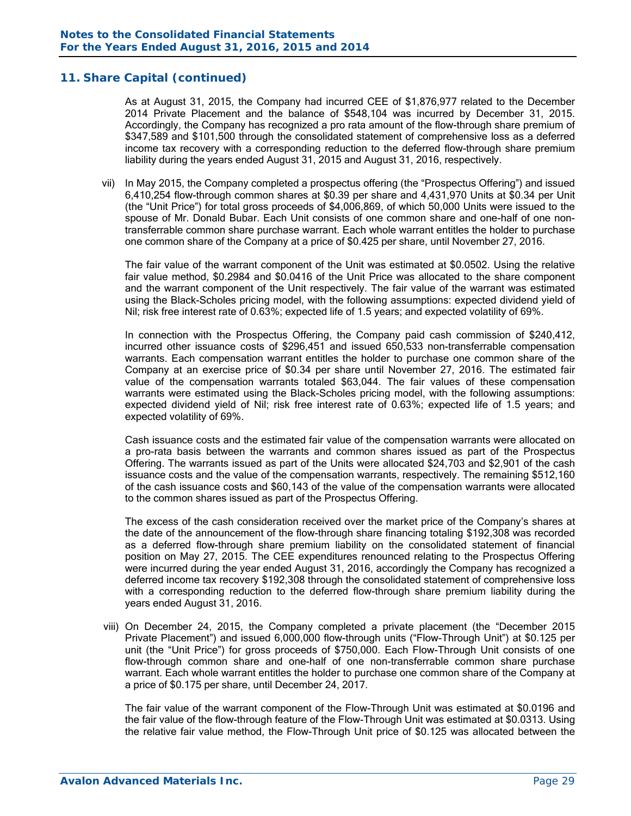As at August 31, 2015, the Company had incurred CEE of \$1,876,977 related to the December 2014 Private Placement and the balance of \$548,104 was incurred by December 31, 2015. Accordingly, the Company has recognized a pro rata amount of the flow-through share premium of \$347,589 and \$101,500 through the consolidated statement of comprehensive loss as a deferred income tax recovery with a corresponding reduction to the deferred flow-through share premium liability during the years ended August 31, 2015 and August 31, 2016, respectively.

vii) In May 2015, the Company completed a prospectus offering (the "Prospectus Offering") and issued 6,410,254 flow-through common shares at \$0.39 per share and 4,431,970 Units at \$0.34 per Unit (the "Unit Price") for total gross proceeds of \$4,006,869, of which 50,000 Units were issued to the spouse of Mr. Donald Bubar. Each Unit consists of one common share and one-half of one nontransferrable common share purchase warrant. Each whole warrant entitles the holder to purchase one common share of the Company at a price of \$0.425 per share, until November 27, 2016.

The fair value of the warrant component of the Unit was estimated at \$0.0502. Using the relative fair value method, \$0.2984 and \$0.0416 of the Unit Price was allocated to the share component and the warrant component of the Unit respectively. The fair value of the warrant was estimated using the Black-Scholes pricing model, with the following assumptions: expected dividend yield of Nil; risk free interest rate of 0.63%; expected life of 1.5 years; and expected volatility of 69%.

In connection with the Prospectus Offering, the Company paid cash commission of \$240,412, incurred other issuance costs of \$296,451 and issued 650,533 non-transferrable compensation warrants. Each compensation warrant entitles the holder to purchase one common share of the Company at an exercise price of \$0.34 per share until November 27, 2016. The estimated fair value of the compensation warrants totaled \$63,044. The fair values of these compensation warrants were estimated using the Black-Scholes pricing model, with the following assumptions: expected dividend yield of Nil; risk free interest rate of 0.63%; expected life of 1.5 years; and expected volatility of 69%.

Cash issuance costs and the estimated fair value of the compensation warrants were allocated on a pro-rata basis between the warrants and common shares issued as part of the Prospectus Offering. The warrants issued as part of the Units were allocated \$24,703 and \$2,901 of the cash issuance costs and the value of the compensation warrants, respectively. The remaining \$512,160 of the cash issuance costs and \$60,143 of the value of the compensation warrants were allocated to the common shares issued as part of the Prospectus Offering.

The excess of the cash consideration received over the market price of the Company's shares at the date of the announcement of the flow-through share financing totaling \$192,308 was recorded as a deferred flow-through share premium liability on the consolidated statement of financial position on May 27, 2015. The CEE expenditures renounced relating to the Prospectus Offering were incurred during the year ended August 31, 2016, accordingly the Company has recognized a deferred income tax recovery \$192,308 through the consolidated statement of comprehensive loss with a corresponding reduction to the deferred flow-through share premium liability during the years ended August 31, 2016.

viii) On December 24, 2015, the Company completed a private placement (the "December 2015 Private Placement") and issued 6,000,000 flow-through units ("Flow-Through Unit") at \$0.125 per unit (the "Unit Price") for gross proceeds of \$750,000. Each Flow-Through Unit consists of one flow-through common share and one-half of one non-transferrable common share purchase warrant. Each whole warrant entitles the holder to purchase one common share of the Company at a price of \$0.175 per share, until December 24, 2017.

The fair value of the warrant component of the Flow-Through Unit was estimated at \$0.0196 and the fair value of the flow-through feature of the Flow-Through Unit was estimated at \$0.0313. Using the relative fair value method, the Flow-Through Unit price of \$0.125 was allocated between the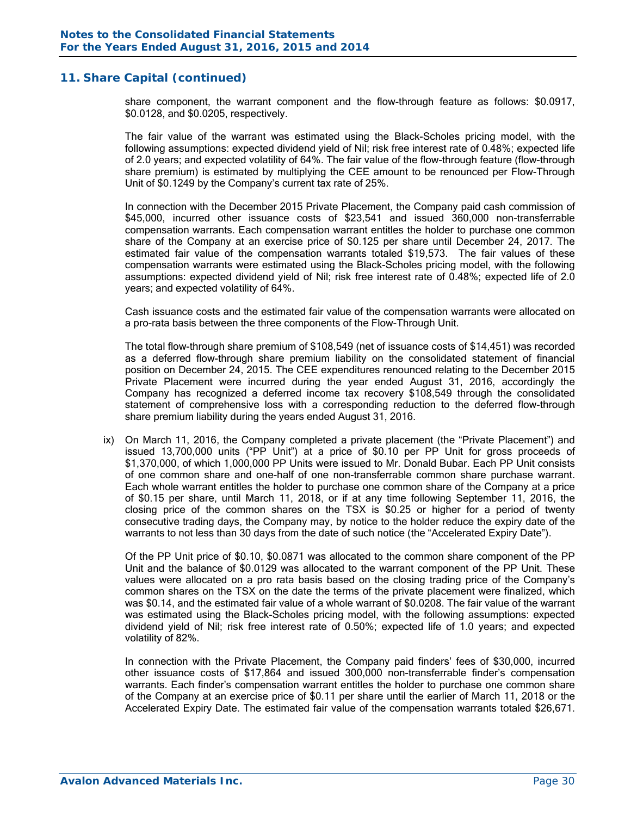share component, the warrant component and the flow-through feature as follows: \$0.0917, \$0.0128, and \$0.0205, respectively.

The fair value of the warrant was estimated using the Black-Scholes pricing model, with the following assumptions: expected dividend yield of Nil; risk free interest rate of 0.48%; expected life of 2.0 years; and expected volatility of 64%. The fair value of the flow-through feature (flow-through share premium) is estimated by multiplying the CEE amount to be renounced per Flow-Through Unit of \$0.1249 by the Company's current tax rate of 25%.

In connection with the December 2015 Private Placement, the Company paid cash commission of \$45,000, incurred other issuance costs of \$23,541 and issued 360,000 non-transferrable compensation warrants. Each compensation warrant entitles the holder to purchase one common share of the Company at an exercise price of \$0.125 per share until December 24, 2017. The estimated fair value of the compensation warrants totaled \$19,573. The fair values of these compensation warrants were estimated using the Black-Scholes pricing model, with the following assumptions: expected dividend yield of Nil; risk free interest rate of 0.48%; expected life of 2.0 years; and expected volatility of 64%.

Cash issuance costs and the estimated fair value of the compensation warrants were allocated on a pro-rata basis between the three components of the Flow-Through Unit.

The total flow-through share premium of \$108,549 (net of issuance costs of \$14,451) was recorded as a deferred flow-through share premium liability on the consolidated statement of financial position on December 24, 2015. The CEE expenditures renounced relating to the December 2015 Private Placement were incurred during the year ended August 31, 2016, accordingly the Company has recognized a deferred income tax recovery \$108,549 through the consolidated statement of comprehensive loss with a corresponding reduction to the deferred flow-through share premium liability during the years ended August 31, 2016.

ix) On March 11, 2016, the Company completed a private placement (the "Private Placement") and issued 13,700,000 units ("PP Unit") at a price of \$0.10 per PP Unit for gross proceeds of \$1,370,000, of which 1,000,000 PP Units were issued to Mr. Donald Bubar. Each PP Unit consists of one common share and one-half of one non-transferrable common share purchase warrant. Each whole warrant entitles the holder to purchase one common share of the Company at a price of \$0.15 per share, until March 11, 2018, or if at any time following September 11, 2016, the closing price of the common shares on the TSX is \$0.25 or higher for a period of twenty consecutive trading days, the Company may, by notice to the holder reduce the expiry date of the warrants to not less than 30 days from the date of such notice (the "Accelerated Expiry Date").

 Of the PP Unit price of \$0.10, \$0.0871 was allocated to the common share component of the PP Unit and the balance of \$0.0129 was allocated to the warrant component of the PP Unit. These values were allocated on a pro rata basis based on the closing trading price of the Company's common shares on the TSX on the date the terms of the private placement were finalized, which was \$0.14, and the estimated fair value of a whole warrant of \$0.0208. The fair value of the warrant was estimated using the Black-Scholes pricing model, with the following assumptions: expected dividend yield of Nil; risk free interest rate of 0.50%; expected life of 1.0 years; and expected volatility of 82%.

In connection with the Private Placement, the Company paid finders' fees of \$30,000, incurred other issuance costs of \$17,864 and issued 300,000 non-transferrable finder's compensation warrants. Each finder's compensation warrant entitles the holder to purchase one common share of the Company at an exercise price of \$0.11 per share until the earlier of March 11, 2018 or the Accelerated Expiry Date. The estimated fair value of the compensation warrants totaled \$26,671.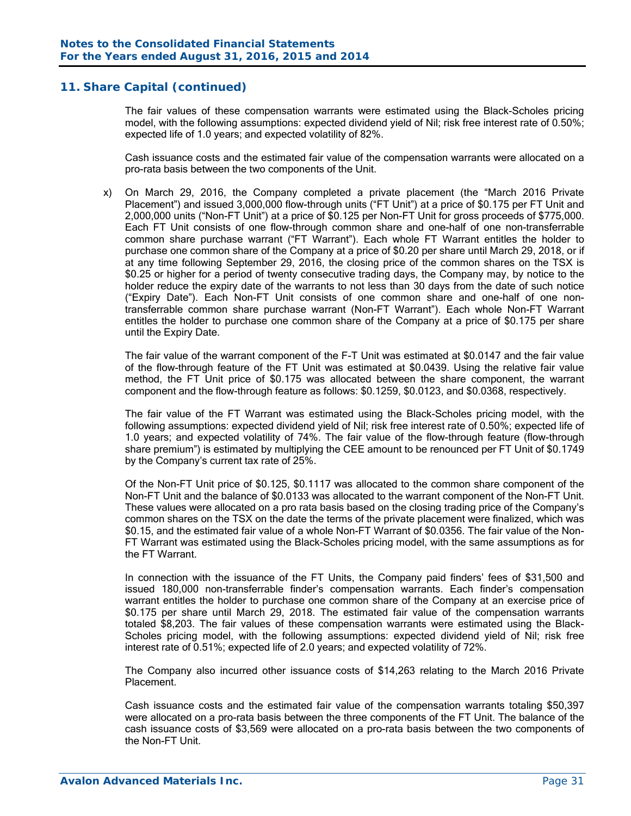The fair values of these compensation warrants were estimated using the Black-Scholes pricing model, with the following assumptions: expected dividend yield of Nil; risk free interest rate of 0.50%; expected life of 1.0 years; and expected volatility of 82%.

Cash issuance costs and the estimated fair value of the compensation warrants were allocated on a pro-rata basis between the two components of the Unit.

x) On March 29, 2016, the Company completed a private placement (the "March 2016 Private Placement") and issued 3,000,000 flow-through units ("FT Unit") at a price of \$0.175 per FT Unit and 2,000,000 units ("Non-FT Unit") at a price of \$0.125 per Non-FT Unit for gross proceeds of \$775,000. Each FT Unit consists of one flow-through common share and one-half of one non-transferrable common share purchase warrant ("FT Warrant"). Each whole FT Warrant entitles the holder to purchase one common share of the Company at a price of \$0.20 per share until March 29, 2018, or if at any time following September 29, 2016, the closing price of the common shares on the TSX is \$0.25 or higher for a period of twenty consecutive trading days, the Company may, by notice to the holder reduce the expiry date of the warrants to not less than 30 days from the date of such notice ("Expiry Date"). Each Non-FT Unit consists of one common share and one-half of one nontransferrable common share purchase warrant (Non-FT Warrant"). Each whole Non-FT Warrant entitles the holder to purchase one common share of the Company at a price of \$0.175 per share until the Expiry Date.

The fair value of the warrant component of the F-T Unit was estimated at \$0.0147 and the fair value of the flow-through feature of the FT Unit was estimated at \$0.0439. Using the relative fair value method, the FT Unit price of \$0.175 was allocated between the share component, the warrant component and the flow-through feature as follows: \$0.1259, \$0.0123, and \$0.0368, respectively.

The fair value of the FT Warrant was estimated using the Black-Scholes pricing model, with the following assumptions: expected dividend yield of Nil; risk free interest rate of 0.50%; expected life of 1.0 years; and expected volatility of 74%. The fair value of the flow-through feature (flow-through share premium") is estimated by multiplying the CEE amount to be renounced per FT Unit of \$0.1749 by the Company's current tax rate of 25%.

 Of the Non-FT Unit price of \$0.125, \$0.1117 was allocated to the common share component of the Non-FT Unit and the balance of \$0.0133 was allocated to the warrant component of the Non-FT Unit. These values were allocated on a pro rata basis based on the closing trading price of the Company's common shares on the TSX on the date the terms of the private placement were finalized, which was \$0.15, and the estimated fair value of a whole Non-FT Warrant of \$0.0356. The fair value of the Non-FT Warrant was estimated using the Black-Scholes pricing model, with the same assumptions as for the FT Warrant.

In connection with the issuance of the FT Units, the Company paid finders' fees of \$31,500 and issued 180,000 non-transferrable finder's compensation warrants. Each finder's compensation warrant entitles the holder to purchase one common share of the Company at an exercise price of \$0.175 per share until March 29, 2018. The estimated fair value of the compensation warrants totaled \$8,203. The fair values of these compensation warrants were estimated using the Black-Scholes pricing model, with the following assumptions: expected dividend yield of Nil; risk free interest rate of 0.51%; expected life of 2.0 years; and expected volatility of 72%.

The Company also incurred other issuance costs of \$14,263 relating to the March 2016 Private Placement.

Cash issuance costs and the estimated fair value of the compensation warrants totaling \$50,397 were allocated on a pro-rata basis between the three components of the FT Unit. The balance of the cash issuance costs of \$3,569 were allocated on a pro-rata basis between the two components of the Non-FT Unit.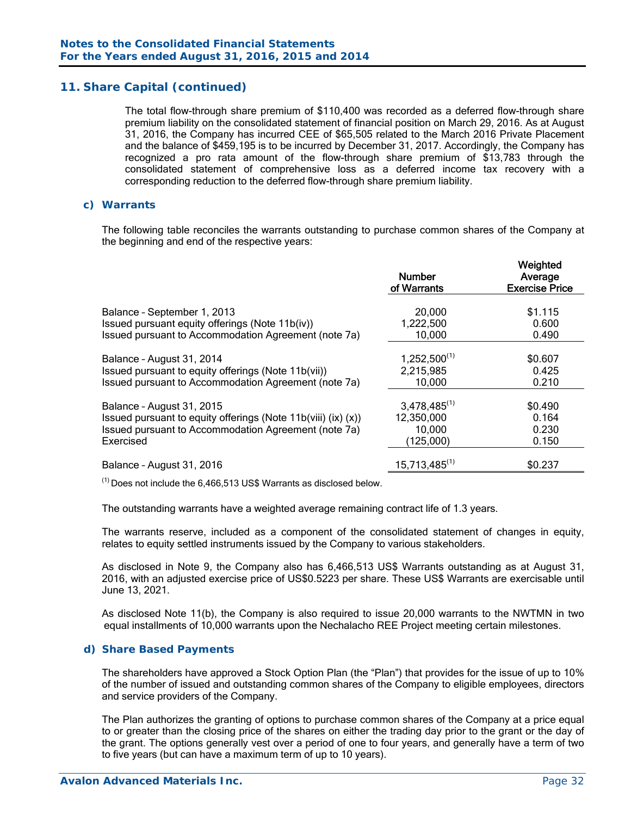The total flow-through share premium of \$110,400 was recorded as a deferred flow-through share premium liability on the consolidated statement of financial position on March 29, 2016. As at August 31, 2016, the Company has incurred CEE of \$65,505 related to the March 2016 Private Placement and the balance of \$459,195 is to be incurred by December 31, 2017. Accordingly, the Company has recognized a pro rata amount of the flow-through share premium of \$13,783 through the consolidated statement of comprehensive loss as a deferred income tax recovery with a corresponding reduction to the deferred flow-through share premium liability.

#### *c) Warrants*

The following table reconciles the warrants outstanding to purchase common shares of the Company at the beginning and end of the respective years:

|                                                               | Number<br>of Warrants | Weighted<br>Average<br><b>Exercise Price</b> |
|---------------------------------------------------------------|-----------------------|----------------------------------------------|
| Balance - September 1, 2013                                   | 20,000                | \$1.115                                      |
| Issued pursuant equity offerings (Note 11b(iv))               | 1,222,500             | 0.600                                        |
| Issued pursuant to Accommodation Agreement (note 7a)          | 10,000                | 0.490                                        |
| Balance - August 31, 2014                                     | $1,252,500^{(1)}$     | \$0.607                                      |
| Issued pursuant to equity offerings (Note 11b(vii))           | 2,215,985             | 0.425                                        |
| Issued pursuant to Accommodation Agreement (note 7a)          | 10,000                | 0.210                                        |
| Balance - August 31, 2015                                     | $3,478,485^{(1)}$     | \$0.490                                      |
| Issued pursuant to equity offerings (Note 11b(viii) (ix) (x)) | 12,350,000            | 0.164                                        |
| Issued pursuant to Accommodation Agreement (note 7a)          | 10,000                | 0.230                                        |
| Exercised                                                     | (125,000)             | 0.150                                        |
| Balance - August 31, 2016                                     | $15,713,485^{(1)}$    | \$0.237                                      |

 $<sup>(1)</sup>$  Does not include the 6,466,513 US\$ Warrants as disclosed below.</sup>

The outstanding warrants have a weighted average remaining contract life of 1.3 years.

The warrants reserve, included as a component of the consolidated statement of changes in equity, relates to equity settled instruments issued by the Company to various stakeholders.

As disclosed in Note 9, the Company also has 6,466,513 US\$ Warrants outstanding as at August 31, 2016, with an adjusted exercise price of US\$0.5223 per share. These US\$ Warrants are exercisable until June 13, 2021.

As disclosed Note 11(b), the Company is also required to issue 20,000 warrants to the NWTMN in two equal installments of 10,000 warrants upon the Nechalacho REE Project meeting certain milestones.

## *d) Share Based Payments*

The shareholders have approved a Stock Option Plan (the "Plan") that provides for the issue of up to 10% of the number of issued and outstanding common shares of the Company to eligible employees, directors and service providers of the Company.

The Plan authorizes the granting of options to purchase common shares of the Company at a price equal to or greater than the closing price of the shares on either the trading day prior to the grant or the day of the grant. The options generally vest over a period of one to four years, and generally have a term of two to five years (but can have a maximum term of up to 10 years).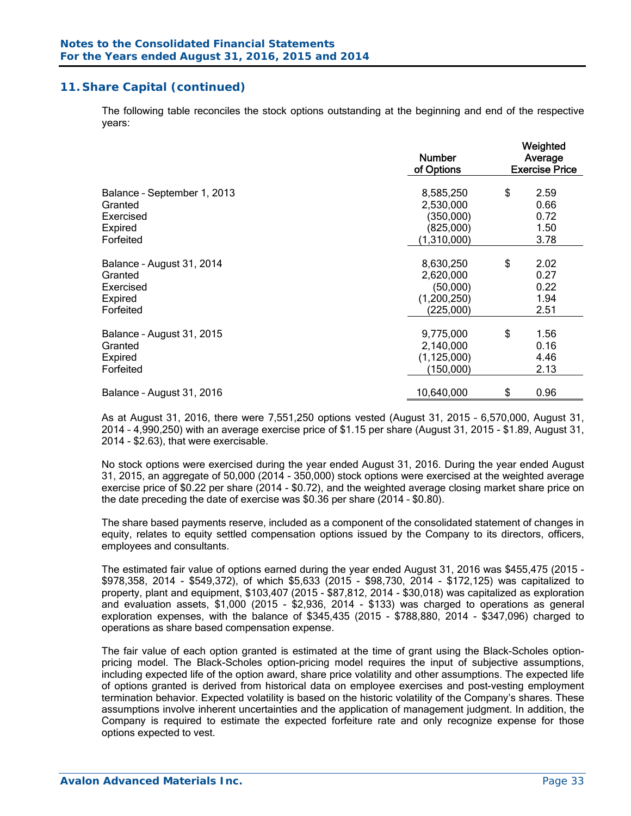The following table reconciles the stock options outstanding at the beginning and end of the respective years:

|                             | <b>Number</b><br>of Options | Weighted<br>Average<br><b>Exercise Price</b> |      |  |
|-----------------------------|-----------------------------|----------------------------------------------|------|--|
| Balance - September 1, 2013 | 8,585,250                   | \$                                           | 2.59 |  |
| Granted                     | 2,530,000                   |                                              | 0.66 |  |
| Exercised                   | (350,000)                   |                                              | 0.72 |  |
| Expired                     | (825,000)                   |                                              | 1.50 |  |
| Forfeited                   | (1,310,000)                 |                                              | 3.78 |  |
| Balance - August 31, 2014   | 8,630,250                   | \$                                           | 2.02 |  |
| Granted                     | 2,620,000                   |                                              | 0.27 |  |
| Exercised                   | (50,000)                    |                                              | 0.22 |  |
| Expired                     | (1,200,250)                 |                                              | 1.94 |  |
| Forfeited                   | (225,000)                   |                                              | 2.51 |  |
| Balance - August 31, 2015   | 9,775,000                   | \$                                           | 1.56 |  |
| Granted                     | 2,140,000                   |                                              | 0.16 |  |
| Expired                     | (1, 125, 000)               |                                              | 4.46 |  |
| Forfeited                   | (150,000)                   |                                              | 2.13 |  |
| Balance - August 31, 2016   | 10,640,000                  | \$                                           | 0.96 |  |

As at August 31, 2016, there were 7,551,250 options vested (August 31, 2015 – 6,570,000, August 31, 2014 – 4,990,250) with an average exercise price of \$1.15 per share (August 31, 2015 - \$1.89, August 31, 2014 - \$2.63), that were exercisable.

No stock options were exercised during the year ended August 31, 2016. During the year ended August 31, 2015, an aggregate of 50,000 (2014 - 350,000) stock options were exercised at the weighted average exercise price of \$0.22 per share (2014 - \$0.72), and the weighted average closing market share price on the date preceding the date of exercise was \$0.36 per share (2014 – \$0.80).

The share based payments reserve, included as a component of the consolidated statement of changes in equity, relates to equity settled compensation options issued by the Company to its directors, officers, employees and consultants.

The estimated fair value of options earned during the year ended August 31, 2016 was \$455,475 (2015 - \$978,358, 2014 - \$549,372), of which \$5,633 (2015 - \$98,730, 2014 - \$172,125) was capitalized to property, plant and equipment, \$103,407 (2015 - \$87,812, 2014 - \$30,018) was capitalized as exploration and evaluation assets, \$1,000 (2015 - \$2,936, 2014 - \$133) was charged to operations as general exploration expenses, with the balance of \$345,435 (2015 - \$788,880, 2014 - \$347,096) charged to operations as share based compensation expense.

The fair value of each option granted is estimated at the time of grant using the Black-Scholes optionpricing model. The Black-Scholes option-pricing model requires the input of subjective assumptions, including expected life of the option award, share price volatility and other assumptions. The expected life of options granted is derived from historical data on employee exercises and post-vesting employment termination behavior. Expected volatility is based on the historic volatility of the Company's shares. These assumptions involve inherent uncertainties and the application of management judgment. In addition, the Company is required to estimate the expected forfeiture rate and only recognize expense for those options expected to vest.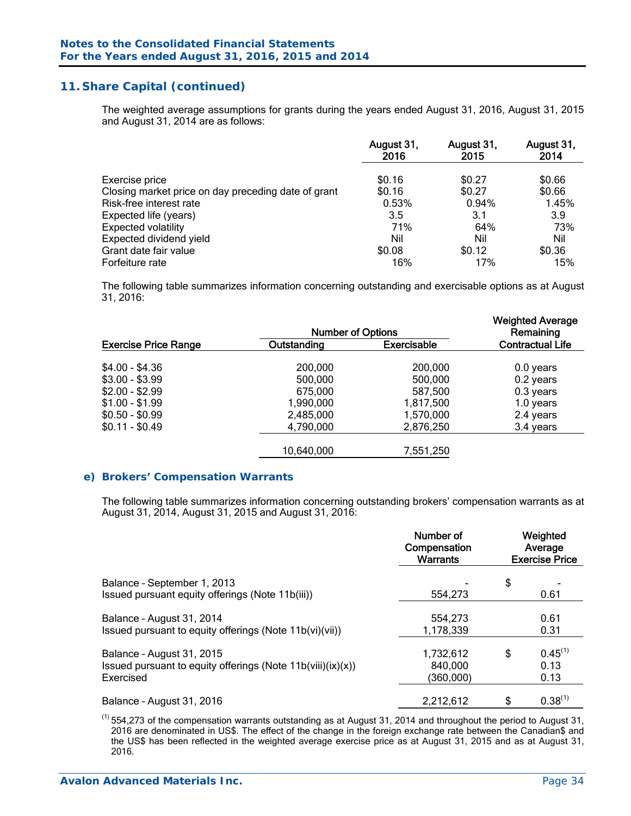The weighted average assumptions for grants during the years ended August 31, 2016, August 31, 2015 and August 31, 2014 are as follows:

|                                                     | August 31,<br>2016 | August 31,<br>2015 | August 31,<br>2014 |
|-----------------------------------------------------|--------------------|--------------------|--------------------|
| Exercise price                                      | \$0.16             | \$0.27             | \$0.66             |
| Closing market price on day preceding date of grant | \$0.16             | \$0.27             | \$0.66             |
| Risk-free interest rate                             | 0.53%              | 0.94%              | 1.45%              |
| Expected life (years)                               | 3.5                | 3.1                | 3.9                |
| <b>Expected volatility</b>                          | 71%                | 64%                | 73%                |
| Expected dividend yield                             | Nil                | Nil                | Nil                |
| Grant date fair value                               | \$0.08             | \$0.12             | \$0.36             |
| Forfeiture rate                                     | 16%                | 17%                | 15%                |

The following table summarizes information concerning outstanding and exercisable options as at August 31, 2016:

| <b>Number of Options</b> |                    |                         |  |
|--------------------------|--------------------|-------------------------|--|
| Outstanding              | <b>Exercisable</b> | <b>Contractual Life</b> |  |
| 200,000                  | 200,000            | 0.0 years               |  |
| 500,000                  | 500,000            | 0.2 years               |  |
| 675,000                  | 587.500            | $0.3$ years             |  |
| 1,990,000                | 1,817,500          | 1.0 years               |  |
| 2,485,000                | 1,570,000          | 2.4 years               |  |
| 4,790,000                | 2,876,250          | 3.4 years               |  |
| 10,640,000               | 7,551,250          |                         |  |
|                          |                    |                         |  |

## *e) Brokers' Compensation Warrants*

The following table summarizes information concerning outstanding brokers' compensation warrants as at August 31, 2014, August 31, 2015 and August 31, 2016:

|                                                                | Number of<br>Compensation<br><b>Warrants</b> | Weighted<br>Average<br><b>Exercise Price</b> |              |
|----------------------------------------------------------------|----------------------------------------------|----------------------------------------------|--------------|
| Balance - September 1, 2013                                    |                                              | \$                                           |              |
| Issued pursuant equity offerings (Note 11b(iii))               | 554,273                                      |                                              | 0.61         |
| Balance - August 31, 2014                                      | 554,273                                      |                                              | 0.61         |
| Issued pursuant to equity offerings (Note 11b(vi)(vii))        | 1,178,339                                    |                                              | 0.31         |
| Balance - August 31, 2015                                      | 1,732,612                                    | \$                                           | $0.45^{(1)}$ |
| Issued pursuant to equity offerings (Note $11b(viii)(ix)(x)$ ) | 840,000                                      |                                              | 0.13         |
| Exercised                                                      | (360,000)                                    |                                              | 0.13         |
| Balance - August 31, 2016                                      | 2,212,612                                    | \$                                           | $0.38^{(1)}$ |

 $^{(1)}$  554,273 of the compensation warrants outstanding as at August 31, 2014 and throughout the period to August 31, 2016 are denominated in US\$. The effect of the change in the foreign exchange rate between the Canadian\$ and the US\$ has been reflected in the weighted average exercise price as at August 31, 2015 and as at August 31, 2016.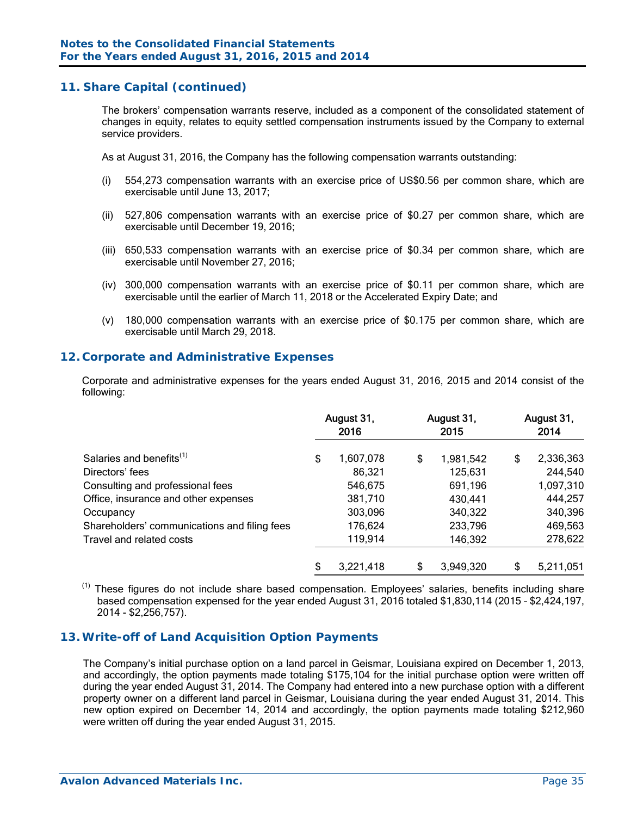The brokers' compensation warrants reserve, included as a component of the consolidated statement of changes in equity, relates to equity settled compensation instruments issued by the Company to external service providers.

As at August 31, 2016, the Company has the following compensation warrants outstanding:

- (i) 554,273 compensation warrants with an exercise price of US\$0.56 per common share, which are exercisable until June 13, 2017;
- (ii) 527,806 compensation warrants with an exercise price of \$0.27 per common share, which are exercisable until December 19, 2016;
- (iii) 650,533 compensation warrants with an exercise price of \$0.34 per common share, which are exercisable until November 27, 2016;
- (iv) 300,000 compensation warrants with an exercise price of \$0.11 per common share, which are exercisable until the earlier of March 11, 2018 or the Accelerated Expiry Date; and
- (v) 180,000 compensation warrants with an exercise price of \$0.175 per common share, which are exercisable until March 29, 2018.

## **12. Corporate and Administrative Expenses**

 Corporate and administrative expenses for the years ended August 31, 2016, 2015 and 2014 consist of the following:

|                                              | August 31,<br>2016 | August 31,<br>2015 | August 31,<br>2014 |
|----------------------------------------------|--------------------|--------------------|--------------------|
| Salaries and benefits <sup>(1)</sup>         | \$<br>1,607,078    | \$<br>1,981,542    | \$<br>2,336,363    |
| Directors' fees                              | 86,321             | 125,631            | 244,540            |
| Consulting and professional fees             | 546,675            | 691,196            | 1,097,310          |
| Office, insurance and other expenses         | 381,710            | 430,441            | 444,257            |
| Occupancy                                    | 303,096            | 340,322            | 340,396            |
| Shareholders' communications and filing fees | 176,624            | 233,796            | 469,563            |
| Travel and related costs                     | 119,914            | 146,392            | 278,622            |
|                                              | \$<br>3,221,418    | \$<br>3,949,320    | \$<br>5,211,051    |

(1) These figures do not include share based compensation. Employees' salaries, benefits including share based compensation expensed for the year ended August 31, 2016 totaled \$1,830,114 (2015 – \$2,424,197, 2014 - \$2,256,757).

## **13. Write-off of Land Acquisition Option Payments**

The Company's initial purchase option on a land parcel in Geismar, Louisiana expired on December 1, 2013, and accordingly, the option payments made totaling \$175,104 for the initial purchase option were written off during the year ended August 31, 2014. The Company had entered into a new purchase option with a different property owner on a different land parcel in Geismar, Louisiana during the year ended August 31, 2014. This new option expired on December 14, 2014 and accordingly, the option payments made totaling \$212,960 were written off during the year ended August 31, 2015.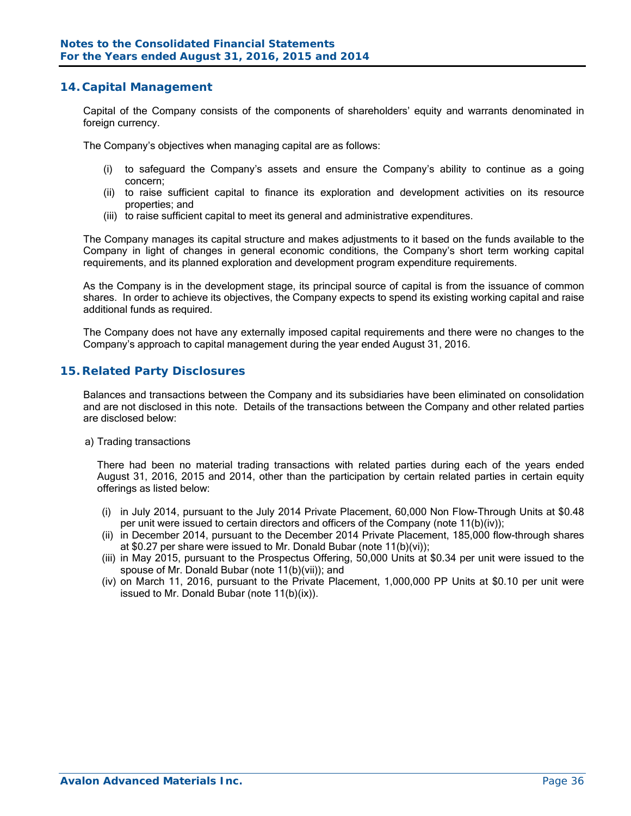## **14. Capital Management**

Capital of the Company consists of the components of shareholders' equity and warrants denominated in foreign currency.

The Company's objectives when managing capital are as follows:

- (i) to safeguard the Company's assets and ensure the Company's ability to continue as a going concern;
- (ii) to raise sufficient capital to finance its exploration and development activities on its resource properties; and
- (iii) to raise sufficient capital to meet its general and administrative expenditures.

The Company manages its capital structure and makes adjustments to it based on the funds available to the Company in light of changes in general economic conditions, the Company's short term working capital requirements, and its planned exploration and development program expenditure requirements.

As the Company is in the development stage, its principal source of capital is from the issuance of common shares. In order to achieve its objectives, the Company expects to spend its existing working capital and raise additional funds as required.

The Company does not have any externally imposed capital requirements and there were no changes to the Company's approach to capital management during the year ended August 31, 2016.

## **15. Related Party Disclosures**

Balances and transactions between the Company and its subsidiaries have been eliminated on consolidation and are not disclosed in this note. Details of the transactions between the Company and other related parties are disclosed below:

a) Trading transactions

There had been no material trading transactions with related parties during each of the years ended August 31, 2016, 2015 and 2014, other than the participation by certain related parties in certain equity offerings as listed below:

- (i) in July 2014, pursuant to the July 2014 Private Placement, 60,000 Non Flow-Through Units at \$0.48 per unit were issued to certain directors and officers of the Company (note 11(b)(iv));
- (ii) in December 2014, pursuant to the December 2014 Private Placement, 185,000 flow-through shares at \$0.27 per share were issued to Mr. Donald Bubar (note 11(b)(vi));
- (iii) in May 2015, pursuant to the Prospectus Offering, 50,000 Units at \$0.34 per unit were issued to the spouse of Mr. Donald Bubar (note 11(b)(vii)); and
- (iv) on March 11, 2016, pursuant to the Private Placement, 1,000,000 PP Units at \$0.10 per unit were issued to Mr. Donald Bubar (note 11(b)(ix)).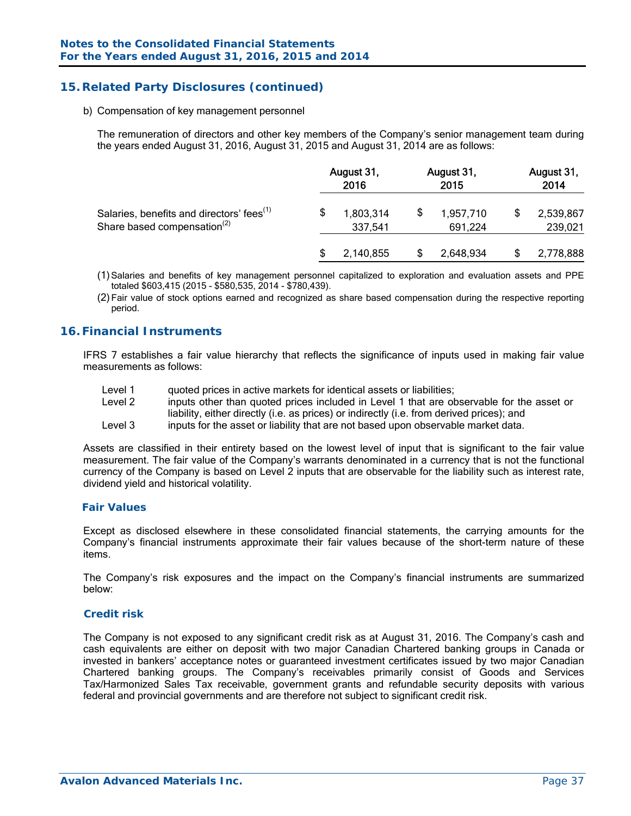# **15. Related Party Disclosures (continued)**

b) Compensation of key management personnel

The remuneration of directors and other key members of the Company's senior management team during the years ended August 31, 2016, August 31, 2015 and August 31, 2014 are as follows:

|                                                                                                  | August 31,<br>2016         | August 31,<br>2015   | August 31,<br>2014         |
|--------------------------------------------------------------------------------------------------|----------------------------|----------------------|----------------------------|
| Salaries, benefits and directors' fees <sup>(1)</sup><br>Share based compensation <sup>(2)</sup> | \$<br>1,803,314<br>337,541 | 1,957,710<br>691,224 | \$<br>2,539,867<br>239,021 |
|                                                                                                  | \$<br>2,140,855            | 2,648,934            | 2,778,888                  |

- (1)Salaries and benefits of key management personnel capitalized to exploration and evaluation assets and PPE totaled \$603,415 (2015 - \$580,535, 2014 - \$780,439).
- (2)Fair value of stock options earned and recognized as share based compensation during the respective reporting period.

## **16. Financial Instruments**

IFRS 7 establishes a fair value hierarchy that reflects the significance of inputs used in making fair value measurements as follows:

- Level 1 quoted prices in active markets for identical assets or liabilities;
- Level 2 inputs other than quoted prices included in Level 1 that are observable for the asset or liability, either directly (i.e. as prices) or indirectly (i.e. from derived prices); and
- Level 3 inputs for the asset or liability that are not based upon observable market data.

Assets are classified in their entirety based on the lowest level of input that is significant to the fair value measurement. The fair value of the Company's warrants denominated in a currency that is not the functional currency of the Company is based on Level 2 inputs that are observable for the liability such as interest rate, dividend yield and historical volatility.

#### *Fair Values*

Except as disclosed elsewhere in these consolidated financial statements, the carrying amounts for the Company's financial instruments approximate their fair values because of the short-term nature of these items.

The Company's risk exposures and the impact on the Company's financial instruments are summarized below:

## *Credit risk*

The Company is not exposed to any significant credit risk as at August 31, 2016. The Company's cash and cash equivalents are either on deposit with two major Canadian Chartered banking groups in Canada or invested in bankers' acceptance notes or guaranteed investment certificates issued by two major Canadian Chartered banking groups. The Company's receivables primarily consist of Goods and Services Tax/Harmonized Sales Tax receivable, government grants and refundable security deposits with various federal and provincial governments and are therefore not subject to significant credit risk.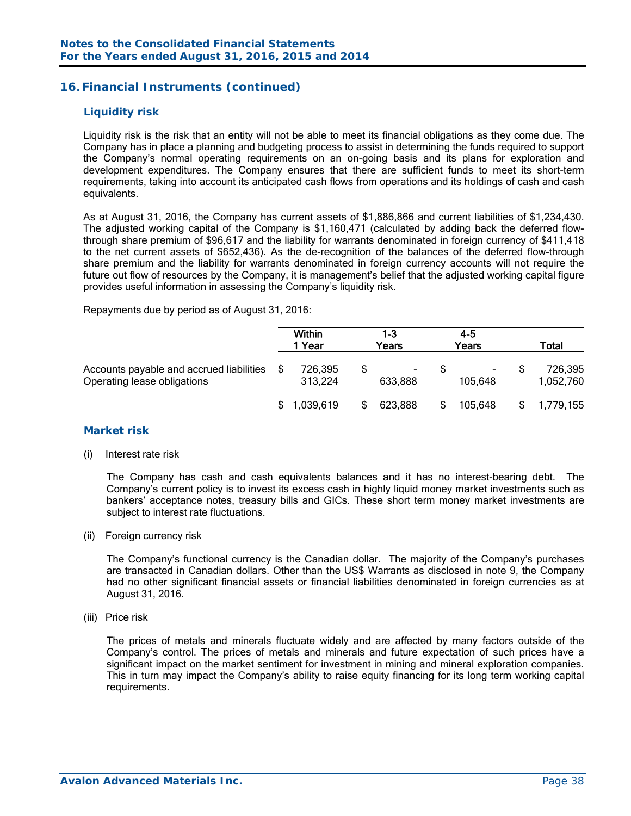# **16. Financial Instruments (continued)**

## *Liquidity risk*

Liquidity risk is the risk that an entity will not be able to meet its financial obligations as they come due. The Company has in place a planning and budgeting process to assist in determining the funds required to support the Company's normal operating requirements on an on-going basis and its plans for exploration and development expenditures. The Company ensures that there are sufficient funds to meet its short-term requirements, taking into account its anticipated cash flows from operations and its holdings of cash and cash equivalents.

As at August 31, 2016, the Company has current assets of \$1,886,866 and current liabilities of \$1,234,430. The adjusted working capital of the Company is \$1,160,471 (calculated by adding back the deferred flowthrough share premium of \$96,617 and the liability for warrants denominated in foreign currency of \$411,418 to the net current assets of \$652,436). As the de-recognition of the balances of the deferred flow-through share premium and the liability for warrants denominated in foreign currency accounts will not require the future out flow of resources by the Company, it is management's belief that the adjusted working capital figure provides useful information in assessing the Company's liquidity risk.

Repayments due by period as of August 31, 2016:

|                                                                         | Within<br>1 Year   |   | $1 - 3$<br>Years | $4 - 5$<br>Years  | Total                |
|-------------------------------------------------------------------------|--------------------|---|------------------|-------------------|----------------------|
| Accounts payable and accrued liabilities<br>Operating lease obligations | 726,395<br>313,224 | S | ۰<br>633,888     | $\sim$<br>105,648 | 726,395<br>1,052,760 |
|                                                                         | 1,039,619          |   | 623,888          | 105,648           | 1,779,155            |

#### *Market risk*

(i) Interest rate risk

 The Company has cash and cash equivalents balances and it has no interest-bearing debt. The Company's current policy is to invest its excess cash in highly liquid money market investments such as bankers' acceptance notes, treasury bills and GICs. These short term money market investments are subject to interest rate fluctuations.

(ii) Foreign currency risk

 The Company's functional currency is the Canadian dollar. The majority of the Company's purchases are transacted in Canadian dollars. Other than the US\$ Warrants as disclosed in note 9, the Company had no other significant financial assets or financial liabilities denominated in foreign currencies as at August 31, 2016.

(iii) Price risk

 The prices of metals and minerals fluctuate widely and are affected by many factors outside of the Company's control. The prices of metals and minerals and future expectation of such prices have a significant impact on the market sentiment for investment in mining and mineral exploration companies. This in turn may impact the Company's ability to raise equity financing for its long term working capital requirements.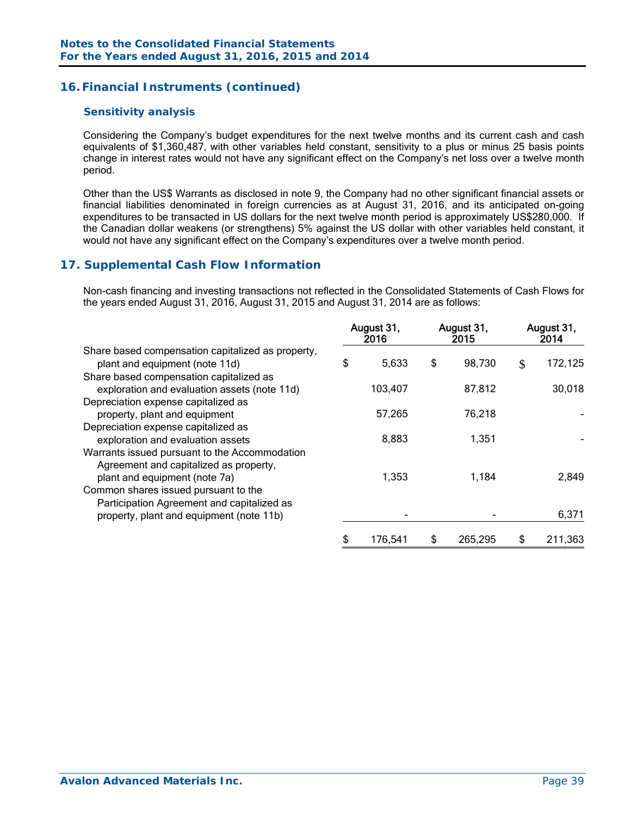## **16. Financial Instruments (continued)**

#### *Sensitivity analysis*

 Considering the Company's budget expenditures for the next twelve months and its current cash and cash equivalents of \$1,360,487, with other variables held constant, sensitivity to a plus or minus 25 basis points change in interest rates would not have any significant effect on the Company's net loss over a twelve month period.

Other than the US\$ Warrants as disclosed in note 9, the Company had no other significant financial assets or financial liabilities denominated in foreign currencies as at August 31, 2016, and its anticipated on-going expenditures to be transacted in US dollars for the next twelve month period is approximately US\$280,000. If the Canadian dollar weakens (or strengthens) 5% against the US dollar with other variables held constant, it would not have any significant effect on the Company's expenditures over a twelve month period.

## **17. Supplemental Cash Flow Information**

Non-cash financing and investing transactions not reflected in the Consolidated Statements of Cash Flows for the years ended August 31, 2016, August 31, 2015 and August 31, 2014 are as follows:

|                                                   | August 31,<br>2016 | August 31,<br>2015 |               | August 31,<br>2014 |
|---------------------------------------------------|--------------------|--------------------|---------------|--------------------|
| Share based compensation capitalized as property, |                    |                    |               |                    |
| plant and equipment (note 11d)                    | \$<br>5,633        | \$<br>98,730       | $\mathcal{S}$ | 172,125            |
| Share based compensation capitalized as           |                    |                    |               |                    |
| exploration and evaluation assets (note 11d)      | 103,407            | 87,812             |               | 30,018             |
| Depreciation expense capitalized as               |                    |                    |               |                    |
| property, plant and equipment                     | 57,265             | 76,218             |               |                    |
| Depreciation expense capitalized as               |                    |                    |               |                    |
| exploration and evaluation assets                 | 8,883              | 1,351              |               |                    |
| Warrants issued pursuant to the Accommodation     |                    |                    |               |                    |
| Agreement and capitalized as property,            |                    |                    |               |                    |
| plant and equipment (note 7a)                     | 1,353              | 1,184              |               | 2,849              |
| Common shares issued pursuant to the              |                    |                    |               |                    |
| Participation Agreement and capitalized as        |                    |                    |               |                    |
| property, plant and equipment (note 11b)          |                    |                    |               | 6,371              |
|                                                   |                    |                    |               |                    |
|                                                   | \$<br>176,541      | \$<br>265,295      | S             | 211,363            |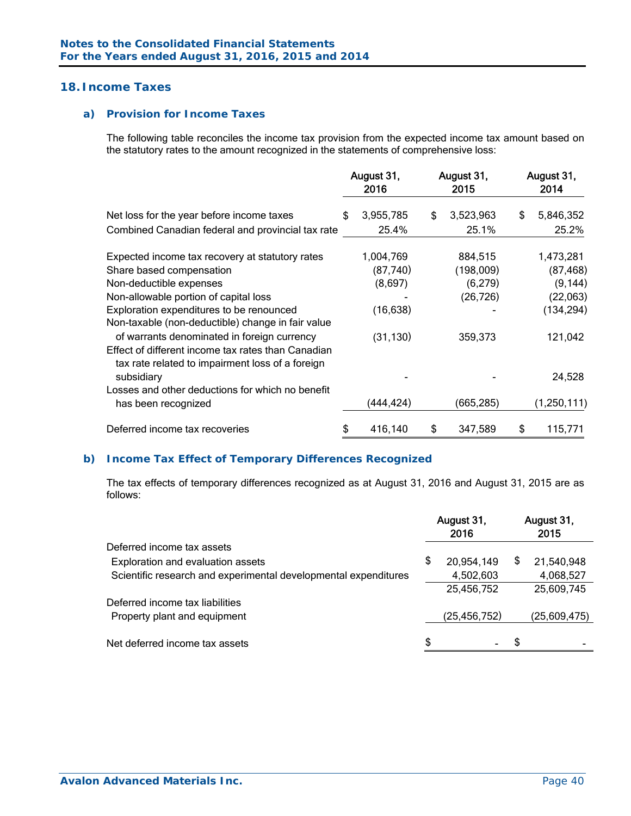# **18. Income Taxes**

# *a) Provision for Income Taxes*

The following table reconciles the income tax provision from the expected income tax amount based on the statutory rates to the amount recognized in the statements of comprehensive loss:

|                                                                                                                                                       |    | August 31,<br>2016 | August 31,<br>2015 | August 31,<br>2014 |
|-------------------------------------------------------------------------------------------------------------------------------------------------------|----|--------------------|--------------------|--------------------|
| Net loss for the year before income taxes                                                                                                             | \$ | 3,955,785          | \$<br>3,523,963    | \$<br>5,846,352    |
| Combined Canadian federal and provincial tax rate                                                                                                     |    | 25.4%              | 25.1%              | 25.2%              |
| Expected income tax recovery at statutory rates                                                                                                       |    | 1,004,769          | 884,515            | 1,473,281          |
| Share based compensation                                                                                                                              |    | (87,740)           | (198,009)          | (87, 468)          |
| Non-deductible expenses                                                                                                                               |    | (8,697)            | (6, 279)           | (9, 144)           |
| Non-allowable portion of capital loss                                                                                                                 |    |                    | (26, 726)          | (22,063)           |
| Exploration expenditures to be renounced<br>Non-taxable (non-deductible) change in fair value                                                         |    | (16, 638)          |                    | (134, 294)         |
| of warrants denominated in foreign currency<br>Effect of different income tax rates than Canadian<br>tax rate related to impairment loss of a foreign |    | (31, 130)          | 359,373            | 121,042            |
| subsidiary<br>Losses and other deductions for which no benefit                                                                                        |    |                    |                    | 24,528             |
| has been recognized                                                                                                                                   |    | (444, 424)         | (665, 285)         | (1,250,111)        |
| Deferred income tax recoveries                                                                                                                        | S  | 416,140            | \$<br>347,589      | \$<br>115,771      |

## *b) Income Tax Effect of Temporary Differences Recognized*

The tax effects of temporary differences recognized as at August 31, 2016 and August 31, 2015 are as follows:

|                                                                 | August 31,<br>2016 |                |    | August 31,<br>2015 |
|-----------------------------------------------------------------|--------------------|----------------|----|--------------------|
| Deferred income tax assets                                      |                    |                |    |                    |
| Exploration and evaluation assets                               | S                  | 20,954,149     | \$ | 21,540,948         |
| Scientific research and experimental developmental expenditures |                    | 4,502,603      |    | 4,068,527          |
|                                                                 |                    | 25,456,752     |    | 25,609,745         |
| Deferred income tax liabilities                                 |                    |                |    |                    |
| Property plant and equipment                                    |                    | (25, 456, 752) |    | (25,609,475)       |
|                                                                 |                    |                |    |                    |
| Net deferred income tax assets                                  | \$                 |                | S  |                    |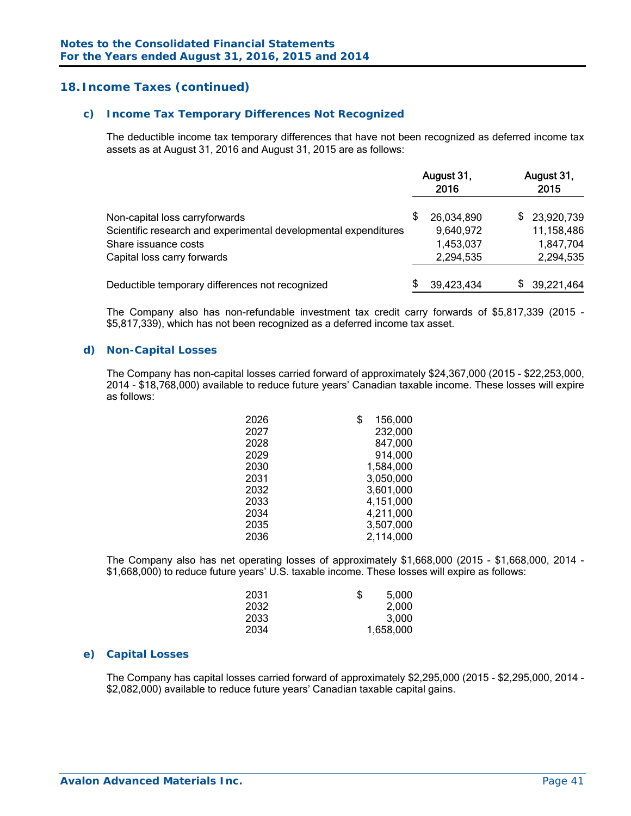# **18. Income Taxes (continued)**

## *c) Income Tax Temporary Differences Not Recognized*

The deductible income tax temporary differences that have not been recognized as deferred income tax assets as at August 31, 2016 and August 31, 2015 are as follows:

|                                                                 |    | August 31,<br>2016 | August 31,<br>2015 |            |  |
|-----------------------------------------------------------------|----|--------------------|--------------------|------------|--|
| Non-capital loss carryforwards                                  | \$ | 26,034,890         | \$                 | 23,920,739 |  |
| Scientific research and experimental developmental expenditures |    | 9,640,972          |                    | 11,158,486 |  |
| Share issuance costs                                            |    | 1,453,037          |                    | 1,847,704  |  |
| Capital loss carry forwards                                     |    | 2,294,535          |                    | 2,294,535  |  |
| Deductible temporary differences not recognized                 |    | 39,423,434         | \$                 | 39,221,464 |  |

The Company also has non-refundable investment tax credit carry forwards of \$5,817,339 (2015 - \$5,817,339), which has not been recognized as a deferred income tax asset.

#### *d) Non-Capital Losses*

The Company has non-capital losses carried forward of approximately \$24,367,000 (2015 - \$22,253,000, 2014 - \$18,768,000) available to reduce future years' Canadian taxable income. These losses will expire as follows:

| \$<br>2026 | 156,000   |
|------------|-----------|
| 2027       | 232,000   |
| 2028       | 847,000   |
| 2029       | 914,000   |
| 2030       | 1,584,000 |
| 2031       | 3,050,000 |
| 2032       | 3,601,000 |
| 2033       | 4,151,000 |
| 2034       | 4,211,000 |
| 2035       | 3,507,000 |
| 2036       | 2,114,000 |

 The Company also has net operating losses of approximately \$1,668,000 (2015 - \$1,668,000, 2014 - \$1,668,000) to reduce future years' U.S. taxable income. These losses will expire as follows:

| 2031 | \$<br>5,000 |
|------|-------------|
| 2032 | 2,000       |
| 2033 | 3,000       |
| 2034 | 1,658,000   |

#### *e) Capital Losses*

 The Company has capital losses carried forward of approximately \$2,295,000 (2015 - \$2,295,000, 2014 - \$2,082,000) available to reduce future years' Canadian taxable capital gains.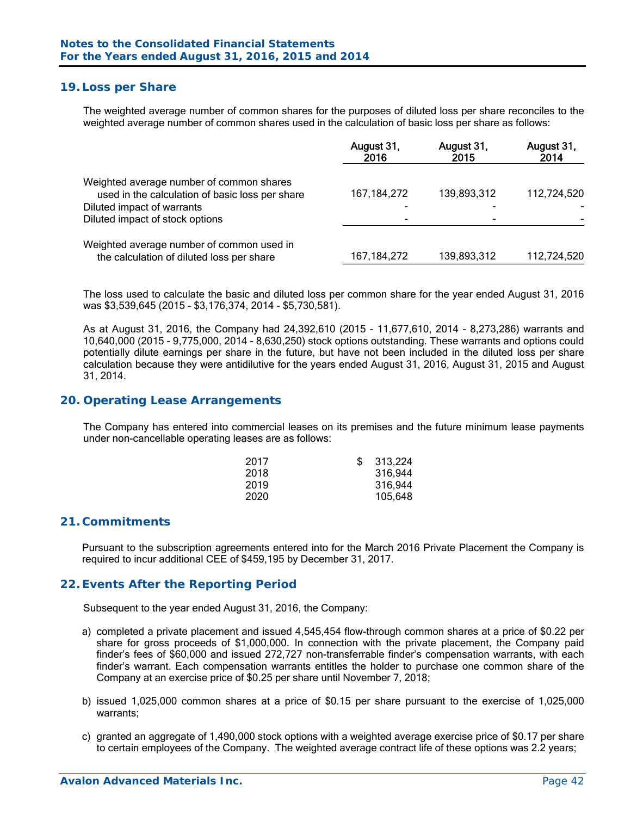## **19. Loss per Share**

The weighted average number of common shares for the purposes of diluted loss per share reconciles to the weighted average number of common shares used in the calculation of basic loss per share as follows:

|                                                                                             | August 31,<br>2016 | August 31,<br>2015 | August 31,<br>2014 |
|---------------------------------------------------------------------------------------------|--------------------|--------------------|--------------------|
| Weighted average number of common shares<br>used in the calculation of basic loss per share | 167, 184, 272      | 139,893,312        | 112,724,520        |
| Diluted impact of warrants<br>Diluted impact of stock options                               |                    |                    |                    |
| Weighted average number of common used in<br>the calculation of diluted loss per share      | 167, 184, 272      | 139,893,312        | 112,724,520        |

The loss used to calculate the basic and diluted loss per common share for the year ended August 31, 2016 was \$3,539,645 (2015 - \$3,176,374, 2014 - \$5,730,581).

As at August 31, 2016, the Company had 24,392,610 (2015 - 11,677,610, 2014 - 8,273,286) warrants and 10,640,000 (2015 - 9,775,000, 2014 - 8,630,250) stock options outstanding. These warrants and options could potentially dilute earnings per share in the future, but have not been included in the diluted loss per share calculation because they were antidilutive for the years ended August 31, 2016, August 31, 2015 and August 31, 2014.

#### **20. Operating Lease Arrangements**

The Company has entered into commercial leases on its premises and the future minimum lease payments under non-cancellable operating leases are as follows:

| 2017 | \$313,224 |
|------|-----------|
| 2018 | 316,944   |
| 2019 | 316,944   |
| 2020 | 105,648   |

## **21. Commitments**

Pursuant to the subscription agreements entered into for the March 2016 Private Placement the Company is required to incur additional CEE of \$459,195 by December 31, 2017.

## **22. Events After the Reporting Period**

Subsequent to the year ended August 31, 2016, the Company:

- a) completed a private placement and issued 4,545,454 flow-through common shares at a price of \$0.22 per share for gross proceeds of \$1,000,000. In connection with the private placement, the Company paid finder's fees of \$60,000 and issued 272,727 non-transferrable finder's compensation warrants, with each finder's warrant. Each compensation warrants entitles the holder to purchase one common share of the Company at an exercise price of \$0.25 per share until November 7, 2018;
- b) issued 1,025,000 common shares at a price of \$0.15 per share pursuant to the exercise of 1,025,000 warrants;
- c) granted an aggregate of 1,490,000 stock options with a weighted average exercise price of \$0.17 per share to certain employees of the Company. The weighted average contract life of these options was 2.2 years;